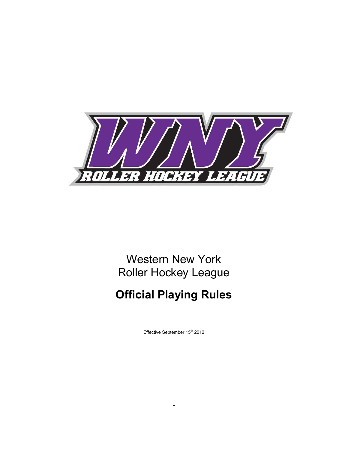

# Western New York Roller Hockey League

# **Official Playing Rules**

Effective September 15<sup>th</sup> 2012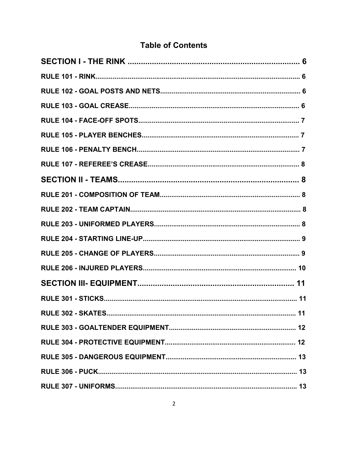# **Table of Contents**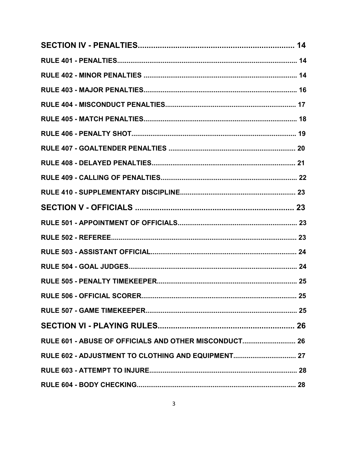| RULE 601 - ABUSE OF OFFICIALS AND OTHER MISCONDUCT 26 |  |
|-------------------------------------------------------|--|
| RULE 602 - ADJUSTMENT TO CLOTHING AND EQUIPMENT 27    |  |
|                                                       |  |
|                                                       |  |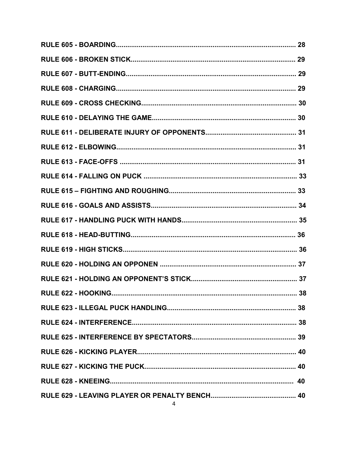| RULE 622 - HOOKING | 38 |
|--------------------|----|
|                    |    |
|                    |    |
|                    |    |
|                    |    |
|                    |    |
|                    |    |
|                    |    |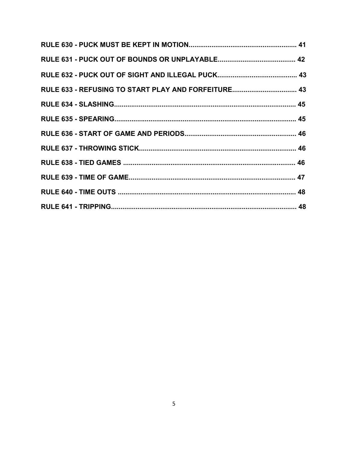| RULE 633 - REFUSING TO START PLAY AND FORFEITURE 43 |  |
|-----------------------------------------------------|--|
|                                                     |  |
|                                                     |  |
|                                                     |  |
|                                                     |  |
|                                                     |  |
|                                                     |  |
|                                                     |  |
|                                                     |  |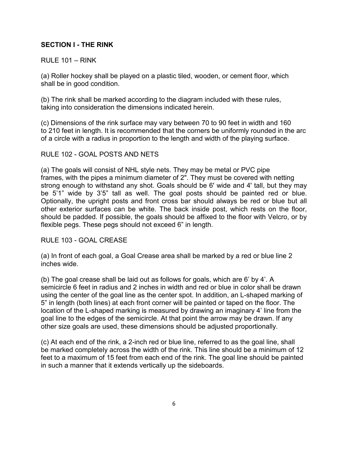# **SECTION I - THE RINK**

# RULE 101 – RINK

(a) Roller hockey shall be played on a plastic tiled, wooden, or cement floor, which shall be in good condition.

(b) The rink shall be marked according to the diagram included with these rules, taking into consideration the dimensions indicated herein.

(c) Dimensions of the rink surface may vary between 70 to 90 feet in width and 160 to 210 feet in length. It is recommended that the corners be uniformly rounded in the arc of a circle with a radius in proportion to the length and width of the playing surface.

# RULE 102 - GOAL POSTS AND NETS

(a) The goals will consist of NHL style nets. They may be metal or PVC pipe frames, with the pipes a minimum diameter of 2". They must be covered with netting strong enough to withstand any shot. Goals should be 6' wide and 4' tall, but they may be 5'1" wide by 3'5" tall as well. The goal posts should be painted red or blue. Optionally, the upright posts and front cross bar should always be red or blue but all other exterior surfaces can be white. The back inside post, which rests on the floor, should be padded. If possible, the goals should be affixed to the floor with Velcro, or by flexible pegs. These pegs should not exceed 6" in length.

RULE 103 - GOAL CREASE

(a) In front of each goal, a Goal Crease area shall be marked by a red or blue line 2 inches wide.

(b) The goal crease shall be laid out as follows for goals, which are 6' by 4'. A semicircle 6 feet in radius and 2 inches in width and red or blue in color shall be drawn using the center of the goal line as the center spot. In addition, an L-shaped marking of 5" in length (both lines) at each front corner will be painted or taped on the floor. The location of the L-shaped marking is measured by drawing an imaginary 4' line from the goal line to the edges of the semicircle. At that point the arrow may be drawn. If any other size goals are used, these dimensions should be adjusted proportionally.

(c) At each end of the rink, a 2-inch red or blue line, referred to as the goal line, shall be marked completely across the width of the rink. This line should be a minimum of 12 feet to a maximum of 15 feet from each end of the rink. The goal line should be painted in such a manner that it extends vertically up the sideboards.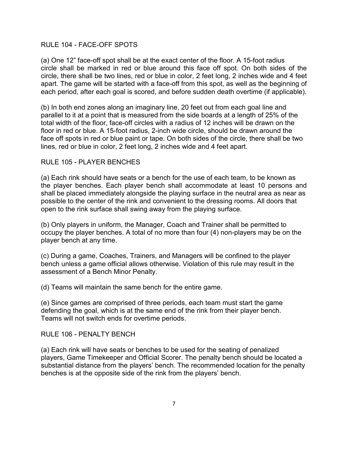#### RULE 104 - FACE-OFF SPOTS

(a) One 12" face-off spot shall be at the exact center of the floor. A 15-foot radius circle shall be marked in red or blue around this face off spot. On both sides of the circle, there shall be two lines, red or blue in color, 2 feet long, 2 inches wide and 4 feet apart. The game will be started with a face-off from this spot, as well as the beginning of each period, after each goal is scored, and before sudden death overtime (if applicable).

(b) In both end zones along an imaginary line, 20 feet out from each goal line and parallel to it at a point that is measured from the side boards at a length of 25% of the total width of the floor, face-off circles with a radius of 12 inches will be drawn on the floor in red or blue. A 15-foot radius, 2-inch wide circle, should be drawn around the face off spots in red or blue paint or tape. On both sides of the circle, there shall be two lines, red or blue in color, 2 feet long, 2 inches wide and 4 feet apart.

#### RULE 105 - PLAYER BENCHES

(a) Each rink should have seats or a bench for the use of each team, to be known as the player benches. Each player bench shall accommodate at least 10 persons and shall be placed immediately alongside the playing surface in the neutral area as near as possible to the center of the rink and convenient to the dressing rooms. All doors that open to the rink surface shall swing away from the playing surface.

(b) Only players in uniform, the Manager, Coach and Trainer shall be permitted to occupy the player benches. A total of no more than four (4) non-players may be on the player bench at any time.

(c) During a game, Coaches, Trainers, and Managers will be confined to the player bench unless a game official allows otherwise. Violation of this rule may result in the assessment of a Bench Minor Penalty.

(d) Teams will maintain the same bench for the entire game.

(e) Since games are comprised of three periods, each team must start the game defending the goal, which is at the same end of the rink from their player bench. Teams will not switch ends for overtime periods.

RULE 106 - PENALTY BENCH

(a) Each rink will have seats or benches to be used for the seating of penalized players, Game Timekeeper and Official Scorer. The penalty bench should be located a substantial distance from the players' bench. The recommended location for the penalty benches is at the opposite side of the rink from the players' bench.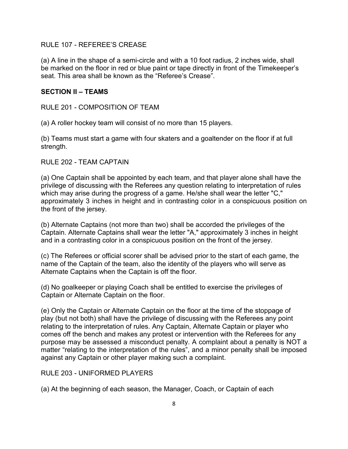RULE 107 - REFEREE'S CREASE

(a) A line in the shape of a semi-circle and with a 10 foot radius, 2 inches wide, shall be marked on the floor in red or blue paint or tape directly in front of the Timekeeper's seat. This area shall be known as the "Referee's Crease".

# **SECTION II – TEAMS**

RULE 201 - COMPOSITION OF TEAM

(a) A roller hockey team will consist of no more than 15 players.

(b) Teams must start a game with four skaters and a goaltender on the floor if at full strength.

RULE 202 - TEAM CAPTAIN

(a) One Captain shall be appointed by each team, and that player alone shall have the privilege of discussing with the Referees any question relating to interpretation of rules which may arise during the progress of a game. He/she shall wear the letter "C," approximately 3 inches in height and in contrasting color in a conspicuous position on the front of the jersey.

(b) Alternate Captains (not more than two) shall be accorded the privileges of the Captain. Alternate Captains shall wear the letter "A," approximately 3 inches in height and in a contrasting color in a conspicuous position on the front of the jersey.

(c) The Referees or official scorer shall be advised prior to the start of each game, the name of the Captain of the team, also the identity of the players who will serve as Alternate Captains when the Captain is off the floor.

(d) No goalkeeper or playing Coach shall be entitled to exercise the privileges of Captain or Alternate Captain on the floor.

(e) Only the Captain or Alternate Captain on the floor at the time of the stoppage of play (but not both) shall have the privilege of discussing with the Referees any point relating to the interpretation of rules. Any Captain, Alternate Captain or player who comes off the bench and makes any protest or intervention with the Referees for any purpose may be assessed a misconduct penalty. A complaint about a penalty is NOT a matter "relating to the interpretation of the rules", and a minor penalty shall be imposed against any Captain or other player making such a complaint.

#### RULE 203 - UNIFORMED PLAYERS

(a) At the beginning of each season, the Manager, Coach, or Captain of each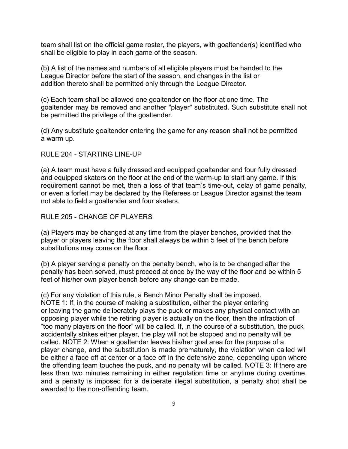team shall list on the official game roster, the players, with goaltender(s) identified who shall be eligible to play in each game of the season.

(b) A list of the names and numbers of all eligible players must be handed to the League Director before the start of the season, and changes in the list or addition thereto shall be permitted only through the League Director.

(c) Each team shall be allowed one goaltender on the floor at one time. The goaltender may be removed and another "player" substituted. Such substitute shall not be permitted the privilege of the goaltender.

(d) Any substitute goaltender entering the game for any reason shall not be permitted a warm up.

# RULE 204 - STARTING LINE-UP

(a) A team must have a fully dressed and equipped goaltender and four fully dressed and equipped skaters on the floor at the end of the warm-up to start any game. If this requirement cannot be met, then a loss of that team's time-out, delay of game penalty, or even a forfeit may be declared by the Referees or League Director against the team not able to field a goaltender and four skaters.

RULE 205 - CHANGE OF PLAYERS

(a) Players may be changed at any time from the player benches, provided that the player or players leaving the floor shall always be within 5 feet of the bench before substitutions may come on the floor.

(b) A player serving a penalty on the penalty bench, who is to be changed after the penalty has been served, must proceed at once by the way of the floor and be within 5 feet of his/her own player bench before any change can be made.

(c) For any violation of this rule, a Bench Minor Penalty shall be imposed. NOTE 1: If, in the course of making a substitution, either the player entering or leaving the game deliberately plays the puck or makes any physical contact with an opposing player while the retiring player is actually on the floor, then the infraction of "too many players on the floor" will be called. If, in the course of a substitution, the puck accidentally strikes either player, the play will not be stopped and no penalty will be called. NOTE 2: When a goaltender leaves his/her goal area for the purpose of a player change, and the substitution is made prematurely, the violation when called will be either a face off at center or a face off in the defensive zone, depending upon where the offending team touches the puck, and no penalty will be called. NOTE 3: If there are less than two minutes remaining in either regulation time or anytime during overtime, and a penalty is imposed for a deliberate illegal substitution, a penalty shot shall be awarded to the non-offending team.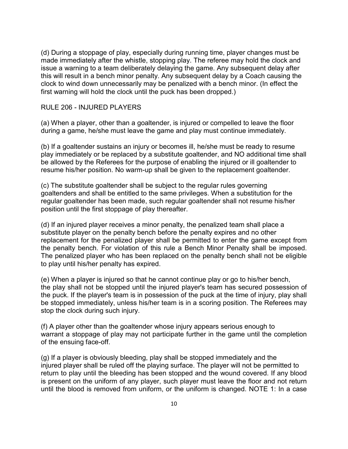(d) During a stoppage of play, especially during running time, player changes must be made immediately after the whistle, stopping play. The referee may hold the clock and issue a warning to a team deliberately delaying the game. Any subsequent delay after this will result in a bench minor penalty. Any subsequent delay by a Coach causing the clock to wind down unnecessarily may be penalized with a bench minor. (In effect the first warning will hold the clock until the puck has been dropped.)

# RULE 206 - INJURED PLAYERS

(a) When a player, other than a goaltender, is injured or compelled to leave the floor during a game, he/she must leave the game and play must continue immediately.

(b) If a goaltender sustains an injury or becomes ill, he/she must be ready to resume play immediately or be replaced by a substitute goaltender, and NO additional time shall be allowed by the Referees for the purpose of enabling the injured or ill goaltender to resume his/her position. No warm-up shall be given to the replacement goaltender.

(c) The substitute goaltender shall be subject to the regular rules governing goaltenders and shall be entitled to the same privileges. When a substitution for the regular goaltender has been made, such regular goaltender shall not resume his/her position until the first stoppage of play thereafter.

(d) If an injured player receives a minor penalty, the penalized team shall place a substitute player on the penalty bench before the penalty expires and no other replacement for the penalized player shall be permitted to enter the game except from the penalty bench. For violation of this rule a Bench Minor Penalty shall be imposed. The penalized player who has been replaced on the penalty bench shall not be eligible to play until his/her penalty has expired.

(e) When a player is injured so that he cannot continue play or go to his/her bench, the play shall not be stopped until the injured player's team has secured possession of the puck. If the player's team is in possession of the puck at the time of injury, play shall be stopped immediately, unless his/her team is in a scoring position. The Referees may stop the clock during such injury.

(f) A player other than the goaltender whose injury appears serious enough to warrant a stoppage of play may not participate further in the game until the completion of the ensuing face-off.

(g) If a player is obviously bleeding, play shall be stopped immediately and the injured player shall be ruled off the playing surface. The player will not be permitted to return to play until the bleeding has been stopped and the wound covered. If any blood is present on the uniform of any player, such player must leave the floor and not return until the blood is removed from uniform, or the uniform is changed. NOTE 1: In a case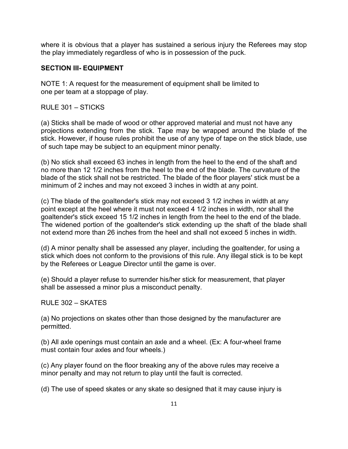where it is obvious that a player has sustained a serious injury the Referees may stop the play immediately regardless of who is in possession of the puck.

# **SECTION III- EQUIPMENT**

NOTE 1: A request for the measurement of equipment shall be limited to one per team at a stoppage of play.

RULE 301 – STICKS

(a) Sticks shall be made of wood or other approved material and must not have any projections extending from the stick. Tape may be wrapped around the blade of the stick. However, if house rules prohibit the use of any type of tape on the stick blade, use of such tape may be subject to an equipment minor penalty.

(b) No stick shall exceed 63 inches in length from the heel to the end of the shaft and no more than 12 1/2 inches from the heel to the end of the blade. The curvature of the blade of the stick shall not be restricted. The blade of the floor players' stick must be a minimum of 2 inches and may not exceed 3 inches in width at any point.

(c) The blade of the goaltender's stick may not exceed 3 1/2 inches in width at any point except at the heel where it must not exceed 4 1/2 inches in width, nor shall the goaltender's stick exceed 15 1/2 inches in length from the heel to the end of the blade. The widened portion of the goaltender's stick extending up the shaft of the blade shall not extend more than 26 inches from the heel and shall not exceed 5 inches in width.

(d) A minor penalty shall be assessed any player, including the goaltender, for using a stick which does not conform to the provisions of this rule. Any illegal stick is to be kept by the Referees or League Director until the game is over.

(e) Should a player refuse to surrender his/her stick for measurement, that player shall be assessed a minor plus a misconduct penalty.

RULE 302 – SKATES

(a) No projections on skates other than those designed by the manufacturer are permitted.

(b) All axle openings must contain an axle and a wheel. (Ex: A four-wheel frame must contain four axles and four wheels.)

(c) Any player found on the floor breaking any of the above rules may receive a minor penalty and may not return to play until the fault is corrected.

(d) The use of speed skates or any skate so designed that it may cause injury is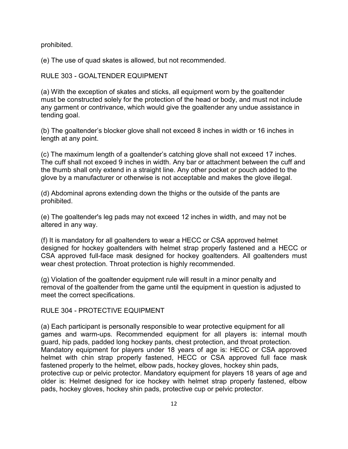prohibited.

(e) The use of quad skates is allowed, but not recommended.

RULE 303 - GOALTENDER EQUIPMENT

(a) With the exception of skates and sticks, all equipment worn by the goaltender must be constructed solely for the protection of the head or body, and must not include any garment or contrivance, which would give the goaltender any undue assistance in tending goal.

(b) The goaltender's blocker glove shall not exceed 8 inches in width or 16 inches in length at any point.

(c) The maximum length of a goaltender's catching glove shall not exceed 17 inches. The cuff shall not exceed 9 inches in width. Any bar or attachment between the cuff and the thumb shall only extend in a straight line. Any other pocket or pouch added to the glove by a manufacturer or otherwise is not acceptable and makes the glove illegal.

(d) Abdominal aprons extending down the thighs or the outside of the pants are prohibited.

(e) The goaltender's leg pads may not exceed 12 inches in width, and may not be altered in any way.

(f) It is mandatory for all goaltenders to wear a HECC or CSA approved helmet designed for hockey goaltenders with helmet strap properly fastened and a HECC or CSA approved full-face mask designed for hockey goaltenders. All goaltenders must wear chest protection. Throat protection is highly recommended.

(g) Violation of the goaltender equipment rule will result in a minor penalty and removal of the goaltender from the game until the equipment in question is adjusted to meet the correct specifications.

RULE 304 - PROTECTIVE EQUIPMENT

(a) Each participant is personally responsible to wear protective equipment for all games and warm-ups. Recommended equipment for all players is: internal mouth guard, hip pads, padded long hockey pants, chest protection, and throat protection. Mandatory equipment for players under 18 years of age is: HECC or CSA approved helmet with chin strap properly fastened, HECC or CSA approved full face mask fastened properly to the helmet, elbow pads, hockey gloves, hockey shin pads, protective cup or pelvic protector. Mandatory equipment for players 18 years of age and older is: Helmet designed for ice hockey with helmet strap properly fastened, elbow pads, hockey gloves, hockey shin pads, protective cup or pelvic protector.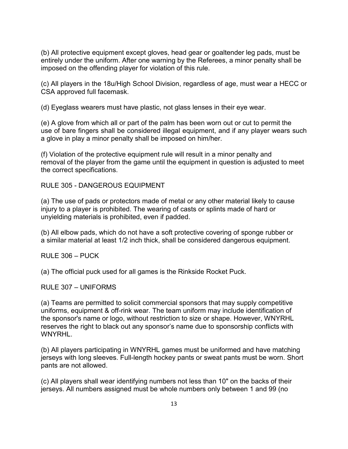(b) All protective equipment except gloves, head gear or goaltender leg pads, must be entirely under the uniform. After one warning by the Referees, a minor penalty shall be imposed on the offending player for violation of this rule.

(c) All players in the 18u/High School Division, regardless of age, must wear a HECC or CSA approved full facemask.

(d) Eyeglass wearers must have plastic, not glass lenses in their eye wear.

(e) A glove from which all or part of the palm has been worn out or cut to permit the use of bare fingers shall be considered illegal equipment, and if any player wears such a glove in play a minor penalty shall be imposed on him/her.

(f) Violation of the protective equipment rule will result in a minor penalty and removal of the player from the game until the equipment in question is adjusted to meet the correct specifications.

RULE 305 - DANGEROUS EQUIPMENT

(a) The use of pads or protectors made of metal or any other material likely to cause injury to a player is prohibited. The wearing of casts or splints made of hard or unyielding materials is prohibited, even if padded.

(b) All elbow pads, which do not have a soft protective covering of sponge rubber or a similar material at least 1/2 inch thick, shall be considered dangerous equipment.

RULE 306 – PUCK

(a) The official puck used for all games is the Rinkside Rocket Puck.

RULE 307 – UNIFORMS

(a) Teams are permitted to solicit commercial sponsors that may supply competitive uniforms, equipment & off-rink wear. The team uniform may include identification of the sponsor's name or logo, without restriction to size or shape. However, WNYRHL reserves the right to black out any sponsor's name due to sponsorship conflicts with **WNYRHL** 

(b) All players participating in WNYRHL games must be uniformed and have matching jerseys with long sleeves. Full-length hockey pants or sweat pants must be worn. Short pants are not allowed.

(c) All players shall wear identifying numbers not less than 10" on the backs of their jerseys. All numbers assigned must be whole numbers only between 1 and 99 (no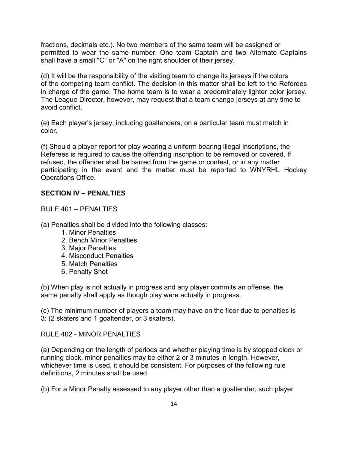fractions, decimals etc.). No two members of the same team will be assigned or permitted to wear the same number. One team Captain and two Alternate Captains shall have a small "C" or "A" on the right shoulder of their jersey.

(d) It will be the responsibility of the visiting team to change its jerseys if the colors of the competing team conflict. The decision in this matter shall be left to the Referees in charge of the game. The home team is to wear a predominately lighter color jersey. The League Director, however, may request that a team change jerseys at any time to avoid conflict.

(e) Each player's jersey, including goaltenders, on a particular team must match in color.

(f) Should a player report for play wearing a uniform bearing illegal inscriptions, the Referees is required to cause the offending inscription to be removed or covered. If refused, the offender shall be barred from the game or contest, or in any matter participating in the event and the matter must be reported to WNYRHL Hockey Operations Office.

# **SECTION IV – PENALTIES**

RULE 401 – PENALTIES

(a) Penalties shall be divided into the following classes:

- 1. Minor Penalties
- 2. Bench Minor Penalties
- 3. Major Penalties
- 4. Misconduct Penalties
- 5. Match Penalties
- 6. Penalty Shot

(b) When play is not actually in progress and any player commits an offense, the same penalty shall apply as though play were actually in progress.

(c) The minimum number of players a team may have on the floor due to penalties is 3: (2 skaters and 1 goaltender, or 3 skaters).

RULE 402 - MINOR PENALTIES

(a) Depending on the length of periods and whether playing time is by stopped clock or running clock, minor penalties may be either 2 or 3 minutes in length. However, whichever time is used, it should be consistent. For purposes of the following rule definitions, 2 minutes shall be used.

(b) For a Minor Penalty assessed to any player other than a goaltender, such player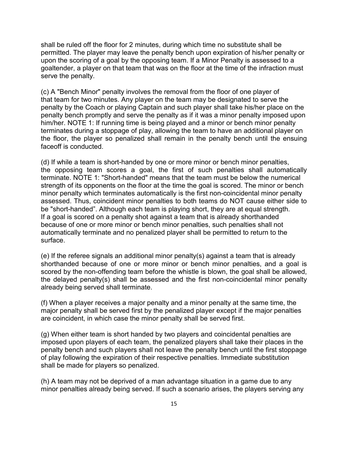shall be ruled off the floor for 2 minutes, during which time no substitute shall be permitted. The player may leave the penalty bench upon expiration of his/her penalty or upon the scoring of a goal by the opposing team. If a Minor Penalty is assessed to a goaltender, a player on that team that was on the floor at the time of the infraction must serve the penalty.

(c) A "Bench Minor" penalty involves the removal from the floor of one player of that team for two minutes. Any player on the team may be designated to serve the penalty by the Coach or playing Captain and such player shall take his/her place on the penalty bench promptly and serve the penalty as if it was a minor penalty imposed upon him/her. NOTE 1: If running time is being played and a minor or bench minor penalty terminates during a stoppage of play, allowing the team to have an additional player on the floor, the player so penalized shall remain in the penalty bench until the ensuing faceoff is conducted.

(d) If while a team is short-handed by one or more minor or bench minor penalties, the opposing team scores a goal, the first of such penalties shall automatically terminate. NOTE 1: "Short-handed" means that the team must be below the numerical strength of its opponents on the floor at the time the goal is scored. The minor or bench minor penalty which terminates automatically is the first non-coincidental minor penalty assessed. Thus, coincident minor penalties to both teams do NOT cause either side to be "short-handed". Although each team is playing short, they are at equal strength. If a goal is scored on a penalty shot against a team that is already shorthanded because of one or more minor or bench minor penalties, such penalties shall not automatically terminate and no penalized player shall be permitted to return to the surface.

(e) If the referee signals an additional minor penalty(s) against a team that is already shorthanded because of one or more minor or bench minor penalties, and a goal is scored by the non-offending team before the whistle is blown, the goal shall be allowed, the delayed penalty(s) shall be assessed and the first non-coincidental minor penalty already being served shall terminate.

(f) When a player receives a major penalty and a minor penalty at the same time, the major penalty shall be served first by the penalized player except if the major penalties are coincident, in which case the minor penalty shall be served first.

(g) When either team is short handed by two players and coincidental penalties are imposed upon players of each team, the penalized players shall take their places in the penalty bench and such players shall not leave the penalty bench until the first stoppage of play following the expiration of their respective penalties. Immediate substitution shall be made for players so penalized.

(h) A team may not be deprived of a man advantage situation in a game due to any minor penalties already being served. If such a scenario arises, the players serving any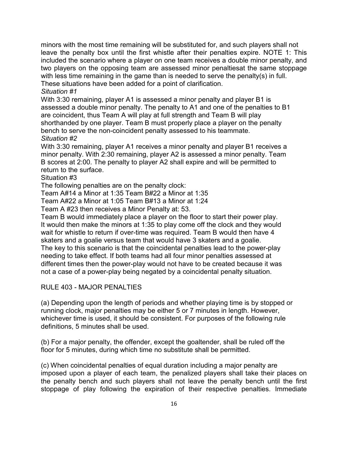minors with the most time remaining will be substituted for, and such players shall not leave the penalty box until the first whistle after their penalties expire. NOTE 1: This included the scenario where a player on one team receives a double minor penalty, and two players on the opposing team are assessed minor penaltiesat the same stoppage with less time remaining in the game than is needed to serve the penalty(s) in full. These situations have been added for a point of clarification.

# *Situation #1*

With 3:30 remaining, player A1 is assessed a minor penalty and player B1 is assessed a double minor penalty. The penalty to A1 and one of the penalties to B1 are coincident, thus Team A will play at full strength and Team B will play shorthanded by one player. Team B must properly place a player on the penalty bench to serve the non-coincident penalty assessed to his teammate. *Situation #2* 

With 3:30 remaining, player A1 receives a minor penalty and player B1 receives a minor penalty. With 2:30 remaining, player A2 is assessed a minor penalty. Team B scores at 2:00. The penalty to player A2 shall expire and will be permitted to return to the surface.

Situation #3

The following penalties are on the penalty clock:

Team A#14 a Minor at 1:35 Team B#22 a Minor at 1:35

Team A#22 a Minor at 1:05 Team B#13 a Minor at 1:24

Team A #23 then receives a Minor Penalty at: 53.

Team B would immediately place a player on the floor to start their power play. It would then make the minors at 1:35 to play come off the clock and they would wait for whistle to return if over-time was required. Team B would then have 4 skaters and a goalie versus team that would have 3 skaters and a goalie. The key to this scenario is that the coincidental penalties lead to the power-play needing to take effect. If both teams had all four minor penalties assessed at different times then the power-play would not have to be created because it was not a case of a power-play being negated by a coincidental penalty situation.

#### RULE 403 - MAJOR PENALTIES

(a) Depending upon the length of periods and whether playing time is by stopped or running clock, major penalties may be either 5 or 7 minutes in length. However, whichever time is used, it should be consistent. For purposes of the following rule definitions, 5 minutes shall be used.

(b) For a major penalty, the offender, except the goaltender, shall be ruled off the floor for 5 minutes, during which time no substitute shall be permitted.

(c) When coincidental penalties of equal duration including a major penalty are imposed upon a player of each team, the penalized players shall take their places on the penalty bench and such players shall not leave the penalty bench until the first stoppage of play following the expiration of their respective penalties. Immediate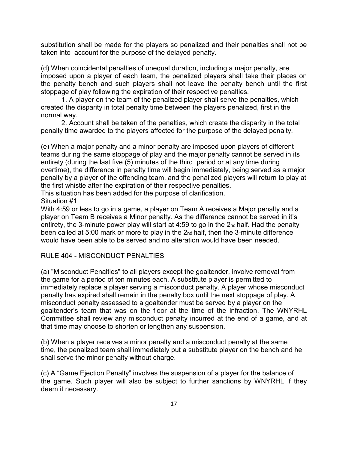substitution shall be made for the players so penalized and their penalties shall not be taken into account for the purpose of the delayed penalty.

(d) When coincidental penalties of unequal duration, including a major penalty, are imposed upon a player of each team, the penalized players shall take their places on the penalty bench and such players shall not leave the penalty bench until the first stoppage of play following the expiration of their respective penalties.

1. A player on the team of the penalized player shall serve the penalties, which created the disparity in total penalty time between the players penalized, first in the normal way.

2. Account shall be taken of the penalties, which create the disparity in the total penalty time awarded to the players affected for the purpose of the delayed penalty.

(e) When a major penalty and a minor penalty are imposed upon players of different teams during the same stoppage of play and the major penalty cannot be served in its entirety (during the last five (5) minutes of the third period or at any time during overtime), the difference in penalty time will begin immediately, being served as a major penalty by a player of the offending team, and the penalized players will return to play at the first whistle after the expiration of their respective penalties.

This situation has been added for the purpose of clarification.

Situation #1

With 4:59 or less to go in a game, a player on Team A receives a Major penalty and a player on Team B receives a Minor penalty. As the difference cannot be served in it's entirety, the 3-minute power play will start at 4:59 to go in the 2nd half. Had the penalty been called at 5:00 mark or more to play in the 2nd half, then the 3-minute difference would have been able to be served and no alteration would have been needed.

# RULE 404 - MISCONDUCT PENALTIES

(a) "Misconduct Penalties" to all players except the goaltender, involve removal from the game for a period of ten minutes each. A substitute player is permitted to immediately replace a player serving a misconduct penalty. A player whose misconduct penalty has expired shall remain in the penalty box until the next stoppage of play. A misconduct penalty assessed to a goaltender must be served by a player on the goaltender's team that was on the floor at the time of the infraction. The WNYRHL Committee shall review any misconduct penalty incurred at the end of a game, and at that time may choose to shorten or lengthen any suspension.

(b) When a player receives a minor penalty and a misconduct penalty at the same time, the penalized team shall immediately put a substitute player on the bench and he shall serve the minor penalty without charge.

(c) A "Game Ejection Penalty" involves the suspension of a player for the balance of the game. Such player will also be subject to further sanctions by WNYRHL if they deem it necessary.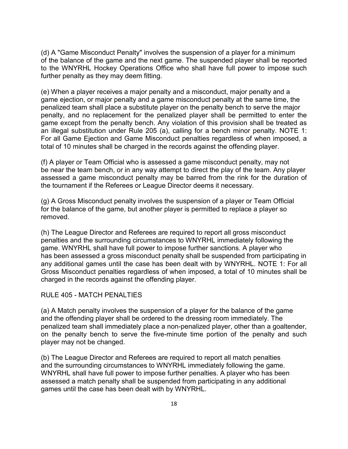(d) A "Game Misconduct Penalty" involves the suspension of a player for a minimum of the balance of the game and the next game. The suspended player shall be reported to the WNYRHL Hockey Operations Office who shall have full power to impose such further penalty as they may deem fitting.

(e) When a player receives a major penalty and a misconduct, major penalty and a game ejection, or major penalty and a game misconduct penalty at the same time, the penalized team shall place a substitute player on the penalty bench to serve the major penalty, and no replacement for the penalized player shall be permitted to enter the game except from the penalty bench. Any violation of this provision shall be treated as an illegal substitution under Rule 205 (a), calling for a bench minor penalty. NOTE 1: For all Game Ejection and Game Misconduct penalties regardless of when imposed, a total of 10 minutes shall be charged in the records against the offending player.

(f) A player or Team Official who is assessed a game misconduct penalty, may not be near the team bench, or in any way attempt to direct the play of the team. Any player assessed a game misconduct penalty may be barred from the rink for the duration of the tournament if the Referees or League Director deems it necessary.

(g) A Gross Misconduct penalty involves the suspension of a player or Team Official for the balance of the game, but another player is permitted to replace a player so removed.

(h) The League Director and Referees are required to report all gross misconduct penalties and the surrounding circumstances to WNYRHL immediately following the game. WNYRHL shall have full power to impose further sanctions. A player who has been assessed a gross misconduct penalty shall be suspended from participating in any additional games until the case has been dealt with by WNYRHL. NOTE 1: For all Gross Misconduct penalties regardless of when imposed, a total of 10 minutes shall be charged in the records against the offending player.

#### RULE 405 - MATCH PENALTIES

(a) A Match penalty involves the suspension of a player for the balance of the game and the offending player shall be ordered to the dressing room immediately. The penalized team shall immediately place a non-penalized player, other than a goaltender, on the penalty bench to serve the five-minute time portion of the penalty and such player may not be changed.

(b) The League Director and Referees are required to report all match penalties and the surrounding circumstances to WNYRHL immediately following the game. WNYRHL shall have full power to impose further penalties. A player who has been assessed a match penalty shall be suspended from participating in any additional games until the case has been dealt with by WNYRHL.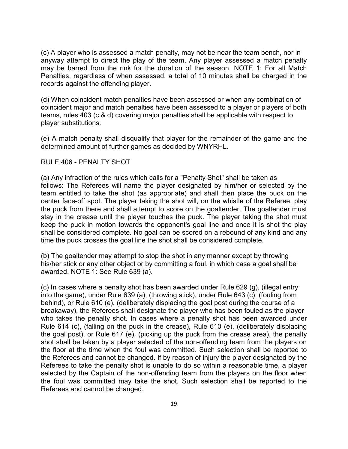(c) A player who is assessed a match penalty, may not be near the team bench, nor in anyway attempt to direct the play of the team. Any player assessed a match penalty may be barred from the rink for the duration of the season. NOTE 1: For all Match Penalties, regardless of when assessed, a total of 10 minutes shall be charged in the records against the offending player.

(d) When coincident match penalties have been assessed or when any combination of coincident major and match penalties have been assessed to a player or players of both teams, rules 403 (c & d) covering major penalties shall be applicable with respect to player substitutions.

(e) A match penalty shall disqualify that player for the remainder of the game and the determined amount of further games as decided by WNYRHL.

#### RULE 406 - PENALTY SHOT

(a) Any infraction of the rules which calls for a "Penalty Shot" shall be taken as follows: The Referees will name the player designated by him/her or selected by the team entitled to take the shot (as appropriate) and shall then place the puck on the center face-off spot. The player taking the shot will, on the whistle of the Referee, play the puck from there and shall attempt to score on the goaltender. The goaltender must stay in the crease until the player touches the puck. The player taking the shot must keep the puck in motion towards the opponent's goal line and once it is shot the play shall be considered complete. No goal can be scored on a rebound of any kind and any time the puck crosses the goal line the shot shall be considered complete.

(b) The goaltender may attempt to stop the shot in any manner except by throwing his/her stick or any other object or by committing a foul, in which case a goal shall be awarded. NOTE 1: See Rule 639 (a).

(c) In cases where a penalty shot has been awarded under Rule 629 (g), (illegal entry into the game), under Rule 639 (a), (throwing stick), under Rule 643 (c), (fouling from behind), or Rule 610 (e), (deliberately displacing the goal post during the course of a breakaway), the Referees shall designate the player who has been fouled as the player who takes the penalty shot. In cases where a penalty shot has been awarded under Rule 614 (c), (falling on the puck in the crease), Rule 610 (e), (deliberately displacing the goal post), or Rule 617 (e), (picking up the puck from the crease area), the penalty shot shall be taken by a player selected of the non-offending team from the players on the floor at the time when the foul was committed. Such selection shall be reported to the Referees and cannot be changed. If by reason of injury the player designated by the Referees to take the penalty shot is unable to do so within a reasonable time, a player selected by the Captain of the non-offending team from the players on the floor when the foul was committed may take the shot. Such selection shall be reported to the Referees and cannot be changed.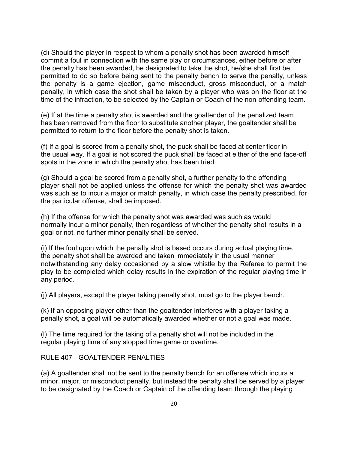(d) Should the player in respect to whom a penalty shot has been awarded himself commit a foul in connection with the same play or circumstances, either before or after the penalty has been awarded, be designated to take the shot, he/she shall first be permitted to do so before being sent to the penalty bench to serve the penalty, unless the penalty is a game ejection, game misconduct, gross misconduct, or a match penalty, in which case the shot shall be taken by a player who was on the floor at the time of the infraction, to be selected by the Captain or Coach of the non-offending team.

(e) If at the time a penalty shot is awarded and the goaltender of the penalized team has been removed from the floor to substitute another player, the goaltender shall be permitted to return to the floor before the penalty shot is taken.

(f) If a goal is scored from a penalty shot, the puck shall be faced at center floor in the usual way. If a goal is not scored the puck shall be faced at either of the end face-off spots in the zone in which the penalty shot has been tried.

(g) Should a goal be scored from a penalty shot, a further penalty to the offending player shall not be applied unless the offense for which the penalty shot was awarded was such as to incur a major or match penalty, in which case the penalty prescribed, for the particular offense, shall be imposed.

(h) If the offense for which the penalty shot was awarded was such as would normally incur a minor penalty, then regardless of whether the penalty shot results in a goal or not, no further minor penalty shall be served.

(i) If the foul upon which the penalty shot is based occurs during actual playing time, the penalty shot shall be awarded and taken immediately in the usual manner notwithstanding any delay occasioned by a slow whistle by the Referee to permit the play to be completed which delay results in the expiration of the regular playing time in any period.

(j) All players, except the player taking penalty shot, must go to the player bench.

(k) If an opposing player other than the goaltender interferes with a player taking a penalty shot, a goal will be automatically awarded whether or not a goal was made.

(l) The time required for the taking of a penalty shot will not be included in the regular playing time of any stopped time game or overtime.

# RULE 407 - GOALTENDER PENALTIES

(a) A goaltender shall not be sent to the penalty bench for an offense which incurs a minor, major, or misconduct penalty, but instead the penalty shall be served by a player to be designated by the Coach or Captain of the offending team through the playing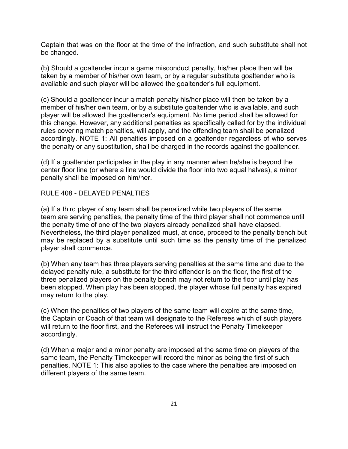Captain that was on the floor at the time of the infraction, and such substitute shall not be changed.

(b) Should a goaltender incur a game misconduct penalty, his/her place then will be taken by a member of his/her own team, or by a regular substitute goaltender who is available and such player will be allowed the goaltender's full equipment.

(c) Should a goaltender incur a match penalty his/her place will then be taken by a member of his/her own team, or by a substitute goaltender who is available, and such player will be allowed the goaltender's equipment. No time period shall be allowed for this change. However, any additional penalties as specifically called for by the individual rules covering match penalties, will apply, and the offending team shall be penalized accordingly. NOTE 1: All penalties imposed on a goaltender regardless of who serves the penalty or any substitution, shall be charged in the records against the goaltender.

(d) If a goaltender participates in the play in any manner when he/she is beyond the center floor line (or where a line would divide the floor into two equal halves), a minor penalty shall be imposed on him/her.

#### RULE 408 - DELAYED PENALTIES

(a) If a third player of any team shall be penalized while two players of the same team are serving penalties, the penalty time of the third player shall not commence until the penalty time of one of the two players already penalized shall have elapsed. Nevertheless, the third player penalized must, at once, proceed to the penalty bench but may be replaced by a substitute until such time as the penalty time of the penalized player shall commence.

(b) When any team has three players serving penalties at the same time and due to the delayed penalty rule, a substitute for the third offender is on the floor, the first of the three penalized players on the penalty bench may not return to the floor until play has been stopped. When play has been stopped, the player whose full penalty has expired may return to the play.

(c) When the penalties of two players of the same team will expire at the same time, the Captain or Coach of that team will designate to the Referees which of such players will return to the floor first, and the Referees will instruct the Penalty Timekeeper accordingly.

(d) When a major and a minor penalty are imposed at the same time on players of the same team, the Penalty Timekeeper will record the minor as being the first of such penalties. NOTE 1: This also applies to the case where the penalties are imposed on different players of the same team.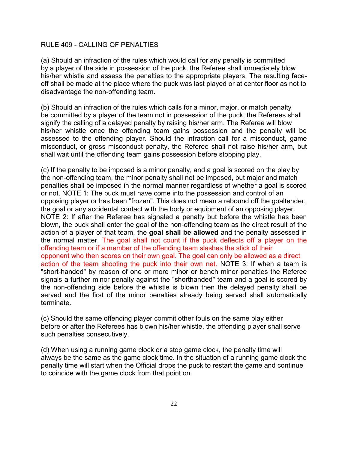# RULE 409 - CALLING OF PENALTIES

(a) Should an infraction of the rules which would call for any penalty is committed by a player of the side in possession of the puck, the Referee shall immediately blow his/her whistle and assess the penalties to the appropriate players. The resulting faceoff shall be made at the place where the puck was last played or at center floor as not to disadvantage the non-offending team.

(b) Should an infraction of the rules which calls for a minor, major, or match penalty be committed by a player of the team not in possession of the puck, the Referees shall signify the calling of a delayed penalty by raising his/her arm. The Referee will blow his/her whistle once the offending team gains possession and the penalty will be assessed to the offending player. Should the infraction call for a misconduct, game misconduct, or gross misconduct penalty, the Referee shall not raise his/her arm, but shall wait until the offending team gains possession before stopping play.

(c) If the penalty to be imposed is a minor penalty, and a goal is scored on the play by the non-offending team, the minor penalty shall not be imposed, but major and match penalties shall be imposed in the normal manner regardless of whether a goal is scored or not. NOTE 1: The puck must have come into the possession and control of an opposing player or has been "frozen". This does not mean a rebound off the goaltender, the goal or any accidental contact with the body or equipment of an opposing player. NOTE 2: If after the Referee has signaled a penalty but before the whistle has been blown, the puck shall enter the goal of the non-offending team as the direct result of the action of a player of that team, the **goal shall be allowed** and the penalty assessed in the normal matter. The goal shall not count if the puck deflects off a player on the offending team or if a member of the offending team slashes the stick of their opponent who then scores on their own goal. The goal can only be allowed as a direct action of the team shooting the puck into their own net. NOTE 3: If when a team is "short-handed" by reason of one or more minor or bench minor penalties the Referee signals a further minor penalty against the "shorthanded" team and a goal is scored by the non-offending side before the whistle is blown then the delayed penalty shall be served and the first of the minor penalties already being served shall automatically terminate.

(c) Should the same offending player commit other fouls on the same play either before or after the Referees has blown his/her whistle, the offending player shall serve such penalties consecutively.

(d) When using a running game clock or a stop game clock, the penalty time will always be the same as the game clock time. In the situation of a running game clock the penalty time will start when the Official drops the puck to restart the game and continue to coincide with the game clock from that point on.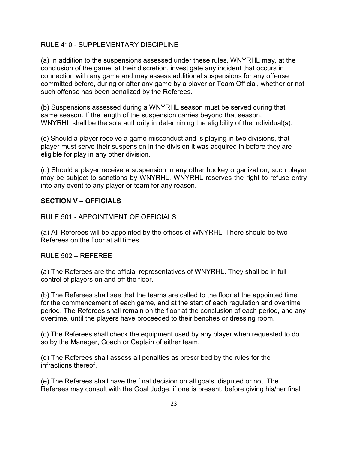# RULE 410 - SUPPLEMENTARY DISCIPLINE

(a) In addition to the suspensions assessed under these rules, WNYRHL may, at the conclusion of the game, at their discretion, investigate any incident that occurs in connection with any game and may assess additional suspensions for any offense committed before, during or after any game by a player or Team Official, whether or not such offense has been penalized by the Referees.

(b) Suspensions assessed during a WNYRHL season must be served during that same season. If the length of the suspension carries beyond that season, WNYRHL shall be the sole authority in determining the eligibility of the individual(s).

(c) Should a player receive a game misconduct and is playing in two divisions, that player must serve their suspension in the division it was acquired in before they are eligible for play in any other division.

(d) Should a player receive a suspension in any other hockey organization, such player may be subject to sanctions by WNYRHL. WNYRHL reserves the right to refuse entry into any event to any player or team for any reason.

# **SECTION V – OFFICIALS**

RULE 501 - APPOINTMENT OF OFFICIALS

(a) All Referees will be appointed by the offices of WNYRHL. There should be two Referees on the floor at all times.

#### RULE 502 – REFEREE

(a) The Referees are the official representatives of WNYRHL. They shall be in full control of players on and off the floor.

(b) The Referees shall see that the teams are called to the floor at the appointed time for the commencement of each game, and at the start of each regulation and overtime period. The Referees shall remain on the floor at the conclusion of each period, and any overtime, until the players have proceeded to their benches or dressing room.

(c) The Referees shall check the equipment used by any player when requested to do so by the Manager, Coach or Captain of either team.

(d) The Referees shall assess all penalties as prescribed by the rules for the infractions thereof.

(e) The Referees shall have the final decision on all goals, disputed or not. The Referees may consult with the Goal Judge, if one is present, before giving his/her final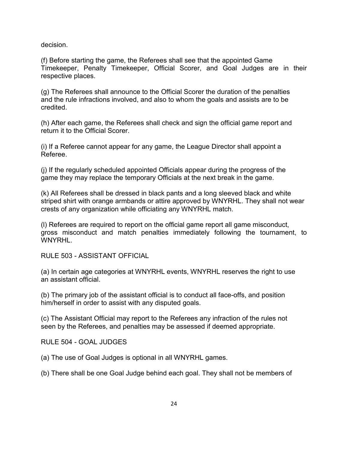decision.

(f) Before starting the game, the Referees shall see that the appointed Game Timekeeper, Penalty Timekeeper, Official Scorer, and Goal Judges are in their respective places.

(g) The Referees shall announce to the Official Scorer the duration of the penalties and the rule infractions involved, and also to whom the goals and assists are to be credited.

(h) After each game, the Referees shall check and sign the official game report and return it to the Official Scorer.

(i) If a Referee cannot appear for any game, the League Director shall appoint a Referee.

(j) If the regularly scheduled appointed Officials appear during the progress of the game they may replace the temporary Officials at the next break in the game.

(k) All Referees shall be dressed in black pants and a long sleeved black and white striped shirt with orange armbands or attire approved by WNYRHL. They shall not wear crests of any organization while officiating any WNYRHL match.

(l) Referees are required to report on the official game report all game misconduct, gross misconduct and match penalties immediately following the tournament, to WNYRHL.

RULE 503 - ASSISTANT OFFICIAL

(a) In certain age categories at WNYRHL events, WNYRHL reserves the right to use an assistant official.

(b) The primary job of the assistant official is to conduct all face-offs, and position him/herself in order to assist with any disputed goals.

(c) The Assistant Official may report to the Referees any infraction of the rules not seen by the Referees, and penalties may be assessed if deemed appropriate.

RULE 504 - GOAL JUDGES

(a) The use of Goal Judges is optional in all WNYRHL games.

(b) There shall be one Goal Judge behind each goal. They shall not be members of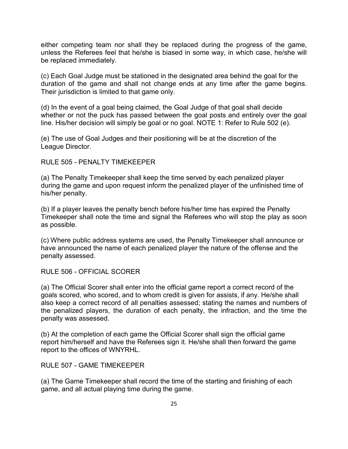either competing team nor shall they be replaced during the progress of the game, unless the Referees feel that he/she is biased in some way, in which case, he/she will be replaced immediately.

(c) Each Goal Judge must be stationed in the designated area behind the goal for the duration of the game and shall not change ends at any time after the game begins. Their jurisdiction is limited to that game only.

(d) In the event of a goal being claimed, the Goal Judge of that goal shall decide whether or not the puck has passed between the goal posts and entirely over the goal line. His/her decision will simply be goal or no goal. NOTE 1: Refer to Rule 502 (e).

(e) The use of Goal Judges and their positioning will be at the discretion of the League Director.

# RULE 505 - PENALTY TIMEKEEPER

(a) The Penalty Timekeeper shall keep the time served by each penalized player during the game and upon request inform the penalized player of the unfinished time of his/her penalty.

(b) If a player leaves the penalty bench before his/her time has expired the Penalty Timekeeper shall note the time and signal the Referees who will stop the play as soon as possible.

(c) Where public address systems are used, the Penalty Timekeeper shall announce or have announced the name of each penalized player the nature of the offense and the penalty assessed.

RULE 506 - OFFICIAL SCORER

(a) The Official Scorer shall enter into the official game report a correct record of the goals scored, who scored, and to whom credit is given for assists, if any. He/she shall also keep a correct record of all penalties assessed; stating the names and numbers of the penalized players, the duration of each penalty, the infraction, and the time the penalty was assessed.

(b) At the completion of each game the Official Scorer shall sign the official game report him/herself and have the Referees sign it. He/she shall then forward the game report to the offices of WNYRHL.

RULE 507 - GAME TIMEKEEPER

(a) The Game Timekeeper shall record the time of the starting and finishing of each game, and all actual playing time during the game.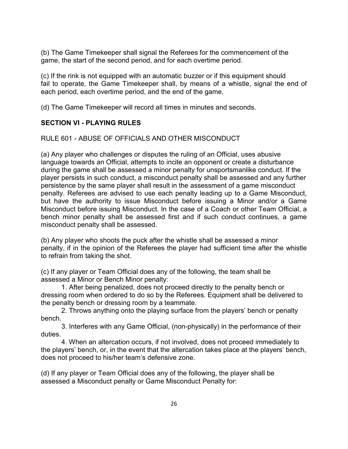(b) The Game Timekeeper shall signal the Referees for the commencement of the game, the start of the second period, and for each overtime period.

(c) If the rink is not equipped with an automatic buzzer or if this equipment should fail to operate, the Game Timekeeper shall, by means of a whistle, signal the end of each period, each overtime period, and the end of the game.

(d) The Game Timekeeper will record all times in minutes and seconds.

# **SECTION VI - PLAYING RULES**

RULE 601 - ABUSE OF OFFICIALS AND OTHER MISCONDUCT

(a) Any player who challenges or disputes the ruling of an Official, uses abusive language towards an Official, attempts to incite an opponent or create a disturbance during the game shall be assessed a minor penalty for unsportsmanlike conduct. If the player persists in such conduct, a misconduct penalty shall be assessed and any further persistence by the same player shall result in the assessment of a game misconduct penalty. Referees are advised to use each penalty leading up to a Game Misconduct, but have the authority to issue Misconduct before issuing a Minor and/or a Game Misconduct before issuing Misconduct. In the case of a Coach or other Team Official, a bench minor penalty shall be assessed first and if such conduct continues, a game misconduct penalty shall be assessed.

(b) Any player who shoots the puck after the whistle shall be assessed a minor penalty, if in the opinion of the Referees the player had sufficient time after the whistle to refrain from taking the shot.

(c) If any player or Team Official does any of the following, the team shall be assessed a Minor or Bench Minor penalty:

1. After being penalized, does not proceed directly to the penalty bench or dressing room when ordered to do so by the Referees. Equipment shall be delivered to the penalty bench or dressing room by a teammate.

2. Throws anything onto the playing surface from the players' bench or penalty bench.

3. Interferes with any Game Official, (non-physically) in the performance of their duties.

4. When an altercation occurs, if not involved, does not proceed immediately to the players' bench, or, in the event that the altercation takes place at the players' bench, does not proceed to his/her team's defensive zone.

(d) If any player or Team Official does any of the following, the player shall be assessed a Misconduct penalty or Game Misconduct Penalty for: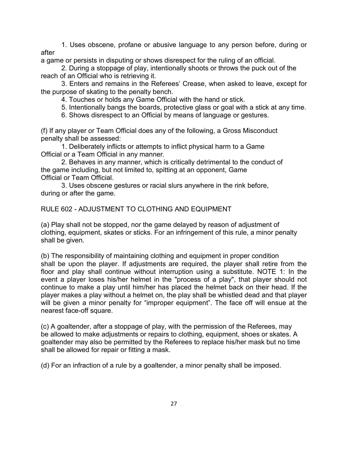1. Uses obscene, profane or abusive language to any person before, during or after

a game or persists in disputing or shows disrespect for the ruling of an official.

2. During a stoppage of play, intentionally shoots or throws the puck out of the reach of an Official who is retrieving it.

3. Enters and remains in the Referees' Crease, when asked to leave, except for the purpose of skating to the penalty bench.

4. Touches or holds any Game Official with the hand or stick.

5. Intentionally bangs the boards, protective glass or goal with a stick at any time.

6. Shows disrespect to an Official by means of language or gestures.

(f) If any player or Team Official does any of the following, a Gross Misconduct penalty shall be assessed:

1. Deliberately inflicts or attempts to inflict physical harm to a Game Official or a Team Official in any manner.

2. Behaves in any manner, which is critically detrimental to the conduct of the game including, but not limited to, spitting at an opponent, Game Official or Team Official.

3. Uses obscene gestures or racial slurs anywhere in the rink before, during or after the game.

# RULE 602 - ADJUSTMENT TO CLOTHING AND EQUIPMENT

(a) Play shall not be stopped, nor the game delayed by reason of adjustment of clothing, equipment, skates or sticks. For an infringement of this rule, a minor penalty shall be given.

(b) The responsibility of maintaining clothing and equipment in proper condition shall be upon the player. If adjustments are required, the player shall retire from the floor and play shall continue without interruption using a substitute. NOTE 1: In the event a player loses his/her helmet in the "process of a play", that player should not continue to make a play until him/her has placed the helmet back on their head. If the player makes a play without a helmet on, the play shall be whistled dead and that player will be given a minor penalty for "improper equipment". The face off will ensue at the nearest face-off square.

(c) A goaltender, after a stoppage of play, with the permission of the Referees, may be allowed to make adjustments or repairs to clothing, equipment, shoes or skates. A goaltender may also be permitted by the Referees to replace his/her mask but no time shall be allowed for repair or fitting a mask.

(d) For an infraction of a rule by a goaltender, a minor penalty shall be imposed.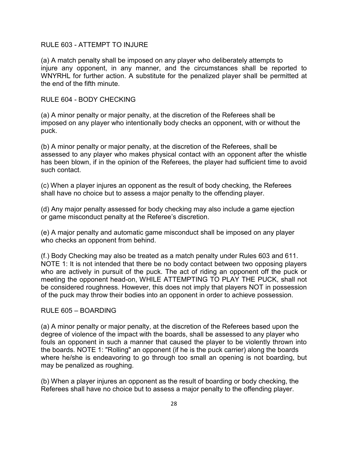#### RULE 603 - ATTEMPT TO INJURE

(a) A match penalty shall be imposed on any player who deliberately attempts to injure any opponent, in any manner, and the circumstances shall be reported to WNYRHL for further action. A substitute for the penalized player shall be permitted at the end of the fifth minute.

#### RULE 604 - BODY CHECKING

(a) A minor penalty or major penalty, at the discretion of the Referees shall be imposed on any player who intentionally body checks an opponent, with or without the puck.

(b) A minor penalty or major penalty, at the discretion of the Referees, shall be assessed to any player who makes physical contact with an opponent after the whistle has been blown, if in the opinion of the Referees, the player had sufficient time to avoid such contact.

(c) When a player injures an opponent as the result of body checking, the Referees shall have no choice but to assess a major penalty to the offending player.

(d) Any major penalty assessed for body checking may also include a game ejection or game misconduct penalty at the Referee's discretion.

(e) A major penalty and automatic game misconduct shall be imposed on any player who checks an opponent from behind.

(f.) Body Checking may also be treated as a match penalty under Rules 603 and 611. NOTE 1: It is not intended that there be no body contact between two opposing players who are actively in pursuit of the puck. The act of riding an opponent off the puck or meeting the opponent head-on, WHILE ATTEMPTING TO PLAY THE PUCK, shall not be considered roughness. However, this does not imply that players NOT in possession of the puck may throw their bodies into an opponent in order to achieve possession.

#### RULE 605 – BOARDING

(a) A minor penalty or major penalty, at the discretion of the Referees based upon the degree of violence of the impact with the boards, shall be assessed to any player who fouls an opponent in such a manner that caused the player to be violently thrown into the boards. NOTE 1: "Rolling" an opponent (if he is the puck carrier) along the boards where he/she is endeavoring to go through too small an opening is not boarding, but may be penalized as roughing.

(b) When a player injures an opponent as the result of boarding or body checking, the Referees shall have no choice but to assess a major penalty to the offending player.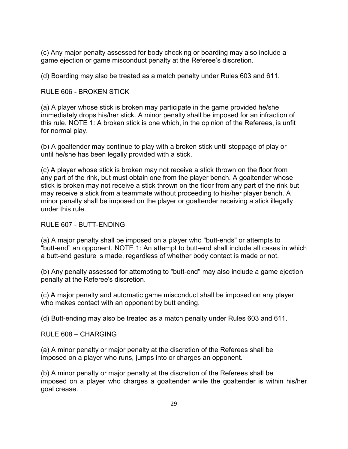(c) Any major penalty assessed for body checking or boarding may also include a game ejection or game misconduct penalty at the Referee's discretion.

(d) Boarding may also be treated as a match penalty under Rules 603 and 611.

# RULE 606 - BROKEN STICK

(a) A player whose stick is broken may participate in the game provided he/she immediately drops his/her stick. A minor penalty shall be imposed for an infraction of this rule. NOTE 1: A broken stick is one which, in the opinion of the Referees, is unfit for normal play.

(b) A goaltender may continue to play with a broken stick until stoppage of play or until he/she has been legally provided with a stick.

(c) A player whose stick is broken may not receive a stick thrown on the floor from any part of the rink, but must obtain one from the player bench. A goaltender whose stick is broken may not receive a stick thrown on the floor from any part of the rink but may receive a stick from a teammate without proceeding to his/her player bench. A minor penalty shall be imposed on the player or goaltender receiving a stick illegally under this rule.

# RULE 607 - BUTT-ENDING

(a) A major penalty shall be imposed on a player who "butt-ends" or attempts to "butt-end" an opponent. NOTE 1: An attempt to butt-end shall include all cases in which a butt-end gesture is made, regardless of whether body contact is made or not.

(b) Any penalty assessed for attempting to "butt-end" may also include a game ejection penalty at the Referee's discretion.

(c) A major penalty and automatic game misconduct shall be imposed on any player who makes contact with an opponent by butt ending.

(d) Butt-ending may also be treated as a match penalty under Rules 603 and 611.

 $RUIF 608 - CHARGING$ 

(a) A minor penalty or major penalty at the discretion of the Referees shall be imposed on a player who runs, jumps into or charges an opponent.

(b) A minor penalty or major penalty at the discretion of the Referees shall be imposed on a player who charges a goaltender while the goaltender is within his/her goal crease.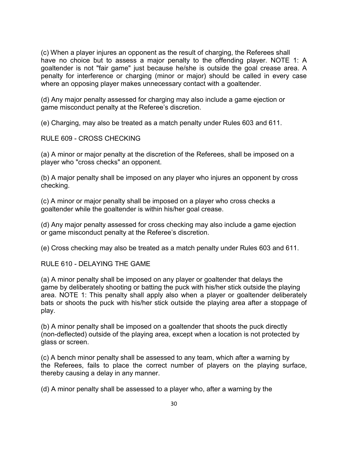(c) When a player injures an opponent as the result of charging, the Referees shall have no choice but to assess a major penalty to the offending player. NOTE 1: A goaltender is not "fair game" just because he/she is outside the goal crease area. A penalty for interference or charging (minor or major) should be called in every case where an opposing player makes unnecessary contact with a goaltender.

(d) Any major penalty assessed for charging may also include a game ejection or game misconduct penalty at the Referee's discretion.

(e) Charging, may also be treated as a match penalty under Rules 603 and 611.

RULE 609 - CROSS CHECKING

(a) A minor or major penalty at the discretion of the Referees, shall be imposed on a player who "cross checks" an opponent.

(b) A major penalty shall be imposed on any player who injures an opponent by cross checking.

(c) A minor or major penalty shall be imposed on a player who cross checks a goaltender while the goaltender is within his/her goal crease.

(d) Any major penalty assessed for cross checking may also include a game ejection or game misconduct penalty at the Referee's discretion.

(e) Cross checking may also be treated as a match penalty under Rules 603 and 611.

RULE 610 - DELAYING THE GAME

(a) A minor penalty shall be imposed on any player or goaltender that delays the game by deliberately shooting or batting the puck with his/her stick outside the playing area. NOTE 1: This penalty shall apply also when a player or goaltender deliberately bats or shoots the puck with his/her stick outside the playing area after a stoppage of play.

(b) A minor penalty shall be imposed on a goaltender that shoots the puck directly (non-deflected) outside of the playing area, except when a location is not protected by glass or screen.

(c) A bench minor penalty shall be assessed to any team, which after a warning by the Referees, fails to place the correct number of players on the playing surface, thereby causing a delay in any manner.

(d) A minor penalty shall be assessed to a player who, after a warning by the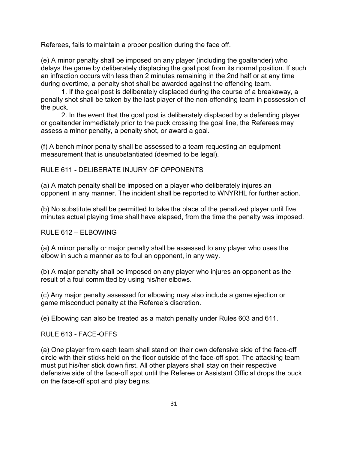Referees, fails to maintain a proper position during the face off.

(e) A minor penalty shall be imposed on any player (including the goaltender) who delays the game by deliberately displacing the goal post from its normal position. If such an infraction occurs with less than 2 minutes remaining in the 2nd half or at any time during overtime, a penalty shot shall be awarded against the offending team.

1. If the goal post is deliberately displaced during the course of a breakaway, a penalty shot shall be taken by the last player of the non-offending team in possession of the puck.

2. In the event that the goal post is deliberately displaced by a defending player or goaltender immediately prior to the puck crossing the goal line, the Referees may assess a minor penalty, a penalty shot, or award a goal.

(f) A bench minor penalty shall be assessed to a team requesting an equipment measurement that is unsubstantiated (deemed to be legal).

RULE 611 - DELIBERATE INJURY OF OPPONENTS

(a) A match penalty shall be imposed on a player who deliberately injures an opponent in any manner. The incident shall be reported to WNYRHL for further action.

(b) No substitute shall be permitted to take the place of the penalized player until five minutes actual playing time shall have elapsed, from the time the penalty was imposed.

#### $RUI F 612 - FI BOWING$

(a) A minor penalty or major penalty shall be assessed to any player who uses the elbow in such a manner as to foul an opponent, in any way.

(b) A major penalty shall be imposed on any player who injures an opponent as the result of a foul committed by using his/her elbows.

(c) Any major penalty assessed for elbowing may also include a game ejection or game misconduct penalty at the Referee's discretion.

(e) Elbowing can also be treated as a match penalty under Rules 603 and 611.

RULE 613 - FACE-OFFS

(a) One player from each team shall stand on their own defensive side of the face-off circle with their sticks held on the floor outside of the face-off spot. The attacking team must put his/her stick down first. All other players shall stay on their respective defensive side of the face-off spot until the Referee or Assistant Official drops the puck on the face-off spot and play begins.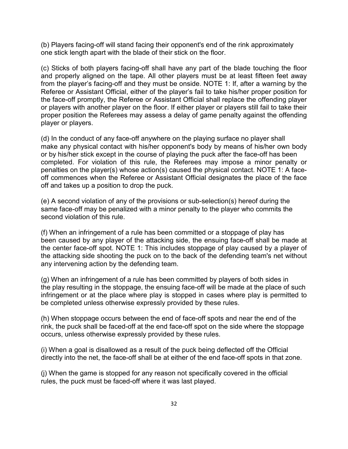(b) Players facing-off will stand facing their opponent's end of the rink approximately one stick length apart with the blade of their stick on the floor.

(c) Sticks of both players facing-off shall have any part of the blade touching the floor and properly aligned on the tape. All other players must be at least fifteen feet away from the player's facing-off and they must be onside. NOTE 1: If, after a warning by the Referee or Assistant Official, either of the player's fail to take his/her proper position for the face-off promptly, the Referee or Assistant Official shall replace the offending player or players with another player on the floor. If either player or players still fail to take their proper position the Referees may assess a delay of game penalty against the offending player or players.

(d) In the conduct of any face-off anywhere on the playing surface no player shall make any physical contact with his/her opponent's body by means of his/her own body or by his/her stick except in the course of playing the puck after the face-off has been completed. For violation of this rule, the Referees may impose a minor penalty or penalties on the player(s) whose action(s) caused the physical contact. NOTE 1: A faceoff commences when the Referee or Assistant Official designates the place of the face off and takes up a position to drop the puck.

(e) A second violation of any of the provisions or sub-selection(s) hereof during the same face-off may be penalized with a minor penalty to the player who commits the second violation of this rule.

(f) When an infringement of a rule has been committed or a stoppage of play has been caused by any player of the attacking side, the ensuing face-off shall be made at the center face-off spot. NOTE 1: This includes stoppage of play caused by a player of the attacking side shooting the puck on to the back of the defending team's net without any intervening action by the defending team.

(g) When an infringement of a rule has been committed by players of both sides in the play resulting in the stoppage, the ensuing face-off will be made at the place of such infringement or at the place where play is stopped in cases where play is permitted to be completed unless otherwise expressly provided by these rules.

(h) When stoppage occurs between the end of face-off spots and near the end of the rink, the puck shall be faced-off at the end face-off spot on the side where the stoppage occurs, unless otherwise expressly provided by these rules.

(i) When a goal is disallowed as a result of the puck being deflected off the Official directly into the net, the face-off shall be at either of the end face-off spots in that zone.

(j) When the game is stopped for any reason not specifically covered in the official rules, the puck must be faced-off where it was last played.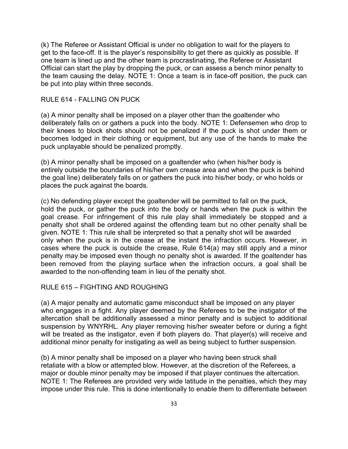(k) The Referee or Assistant Official is under no obligation to wait for the players to get to the face-off. It is the player's responsibility to get there as quickly as possible. If one team is lined up and the other team is procrastinating, the Referee or Assistant Official can start the play by dropping the puck, or can assess a bench minor penalty to the team causing the delay. NOTE 1: Once a team is in face-off position, the puck can be put into play within three seconds.

#### RULE 614 - FALLING ON PUCK

(a) A minor penalty shall be imposed on a player other than the goaltender who deliberately falls on or gathers a puck into the body. NOTE 1: Defensemen who drop to their knees to block shots should not be penalized if the puck is shot under them or becomes lodged in their clothing or equipment, but any use of the hands to make the puck unplayable should be penalized promptly.

(b) A minor penalty shall be imposed on a goaltender who (when his/her body is entirely outside the boundaries of his/her own crease area and when the puck is behind the goal line) deliberately falls on or gathers the puck into his/her body, or who holds or places the puck against the boards.

(c) No defending player except the goaltender will be permitted to fall on the puck, hold the puck, or gather the puck into the body or hands when the puck is within the goal crease. For infringement of this rule play shall immediately be stopped and a penalty shot shall be ordered against the offending team but no other penalty shall be given. NOTE 1: This rule shall be interpreted so that a penalty shot will be awarded only when the puck is in the crease at the instant the infraction occurs. However, in cases where the puck is outside the crease, Rule 614(a) may still apply and a minor penalty may be imposed even though no penalty shot is awarded. If the goaltender has been removed from the playing surface when the infraction occurs, a goal shall be awarded to the non-offending team in lieu of the penalty shot.

#### RULE 615 – FIGHTING AND ROUGHING

(a) A major penalty and automatic game misconduct shall be imposed on any player who engages in a fight. Any player deemed by the Referees to be the instigator of the altercation shall be additionally assessed a minor penalty and is subject to additional suspension by WNYRHL. Any player removing his/her sweater before or during a fight will be treated as the instigator, even if both players do. That player(s) will receive and additional minor penalty for instigating as well as being subject to further suspension.

(b) A minor penalty shall be imposed on a player who having been struck shall retaliate with a blow or attempted blow. However, at the discretion of the Referees, a major or double minor penalty may be imposed if that player continues the altercation. NOTE 1: The Referees are provided very wide latitude in the penalties, which they may impose under this rule. This is done intentionally to enable them to differentiate between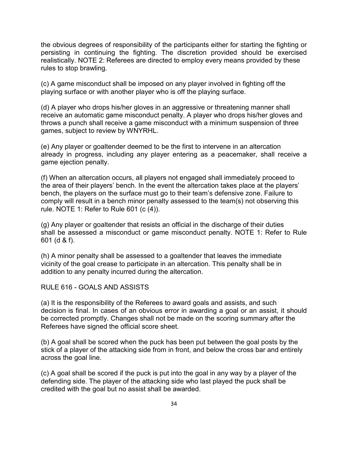the obvious degrees of responsibility of the participants either for starting the fighting or persisting in continuing the fighting. The discretion provided should be exercised realistically. NOTE 2: Referees are directed to employ every means provided by these rules to stop brawling.

(c) A game misconduct shall be imposed on any player involved in fighting off the playing surface or with another player who is off the playing surface.

(d) A player who drops his/her gloves in an aggressive or threatening manner shall receive an automatic game misconduct penalty. A player who drops his/her gloves and throws a punch shall receive a game misconduct with a minimum suspension of three games, subject to review by WNYRHL.

(e) Any player or goaltender deemed to be the first to intervene in an altercation already in progress, including any player entering as a peacemaker, shall receive a game ejection penalty.

(f) When an altercation occurs, all players not engaged shall immediately proceed to the area of their players' bench. In the event the altercation takes place at the players' bench, the players on the surface must go to their team's defensive zone. Failure to comply will result in a bench minor penalty assessed to the team(s) not observing this rule. NOTE 1: Refer to Rule 601 (c (4)).

(g) Any player or goaltender that resists an official in the discharge of their duties shall be assessed a misconduct or game misconduct penalty. NOTE 1: Refer to Rule 601 (d & f).

(h) A minor penalty shall be assessed to a goaltender that leaves the immediate vicinity of the goal crease to participate in an altercation. This penalty shall be in addition to any penalty incurred during the altercation.

RULE 616 - GOALS AND ASSISTS

(a) It is the responsibility of the Referees to award goals and assists, and such decision is final. In cases of an obvious error in awarding a goal or an assist, it should be corrected promptly. Changes shall not be made on the scoring summary after the Referees have signed the official score sheet.

(b) A goal shall be scored when the puck has been put between the goal posts by the stick of a player of the attacking side from in front, and below the cross bar and entirely across the goal line.

(c) A goal shall be scored if the puck is put into the goal in any way by a player of the defending side. The player of the attacking side who last played the puck shall be credited with the goal but no assist shall be awarded.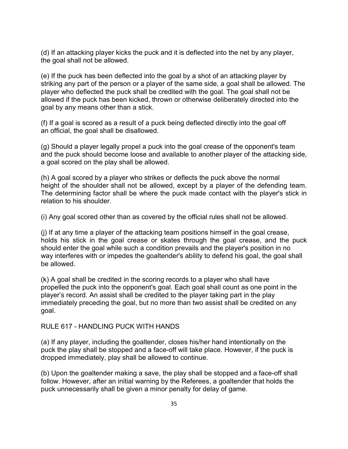(d) If an attacking player kicks the puck and it is deflected into the net by any player, the goal shall not be allowed.

(e) If the puck has been deflected into the goal by a shot of an attacking player by striking any part of the person or a player of the same side, a goal shall be allowed. The player who deflected the puck shall be credited with the goal. The goal shall not be allowed if the puck has been kicked, thrown or otherwise deliberately directed into the goal by any means other than a stick.

(f) If a goal is scored as a result of a puck being deflected directly into the goal off an official, the goal shall be disallowed.

(g) Should a player legally propel a puck into the goal crease of the opponent's team and the puck should become loose and available to another player of the attacking side, a goal scored on the play shall be allowed.

(h) A goal scored by a player who strikes or deflects the puck above the normal height of the shoulder shall not be allowed, except by a player of the defending team. The determining factor shall be where the puck made contact with the player's stick in relation to his shoulder.

(i) Any goal scored other than as covered by the official rules shall not be allowed.

(j) If at any time a player of the attacking team positions himself in the goal crease, holds his stick in the goal crease or skates through the goal crease, and the puck should enter the goal while such a condition prevails and the player's position in no way interferes with or impedes the goaltender's ability to defend his goal, the goal shall be allowed.

(k) A goal shall be credited in the scoring records to a player who shall have propelled the puck into the opponent's goal. Each goal shall count as one point in the player's record. An assist shall be credited to the player taking part in the play immediately preceding the goal, but no more than two assist shall be credited on any goal.

#### RULE 617 - HANDLING PUCK WITH HANDS

(a) If any player, including the goaltender, closes his/her hand intentionally on the puck the play shall be stopped and a face-off will take place. However, if the puck is dropped immediately, play shall be allowed to continue.

(b) Upon the goaltender making a save, the play shall be stopped and a face-off shall follow. However, after an initial warning by the Referees, a goaltender that holds the puck unnecessarily shall be given a minor penalty for delay of game.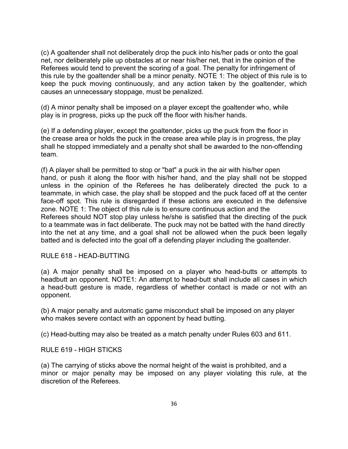(c) A goaltender shall not deliberately drop the puck into his/her pads or onto the goal net, nor deliberately pile up obstacles at or near his/her net, that in the opinion of the Referees would tend to prevent the scoring of a goal. The penalty for infringement of this rule by the goaltender shall be a minor penalty. NOTE 1: The object of this rule is to keep the puck moving continuously, and any action taken by the goaltender, which causes an unnecessary stoppage, must be penalized.

(d) A minor penalty shall be imposed on a player except the goaltender who, while play is in progress, picks up the puck off the floor with his/her hands.

(e) If a defending player, except the goaltender, picks up the puck from the floor in the crease area or holds the puck in the crease area while play is in progress, the play shall he stopped immediately and a penalty shot shall be awarded to the non-offending team.

(f) A player shall be permitted to stop or "bat" a puck in the air with his/her open hand, or push it along the floor with his/her hand, and the play shall not be stopped unless in the opinion of the Referees he has deliberately directed the puck to a teammate, in which case, the play shall be stopped and the puck faced off at the center face-off spot. This rule is disregarded if these actions are executed in the defensive zone. NOTE 1: The object of this rule is to ensure continuous action and the Referees should NOT stop play unless he/she is satisfied that the directing of the puck to a teammate was in fact deliberate. The puck may not be batted with the hand directly into the net at any time, and a goal shall not be allowed when the puck been legally batted and is defected into the goal off a defending player including the goaltender.

#### RULE 618 - HEAD-BUTTING

(a) A major penalty shall be imposed on a player who head-butts or attempts to headbutt an opponent. NOTE1: An attempt to head-butt shall include all cases in which a head-butt gesture is made, regardless of whether contact is made or not with an opponent.

(b) A major penalty and automatic game misconduct shall be imposed on any player who makes severe contact with an opponent by head butting.

(c) Head-butting may also be treated as a match penalty under Rules 603 and 611.

#### RULE 619 - HIGH STICKS

(a) The carrying of sticks above the normal height of the waist is prohibited, and a minor or major penalty may be imposed on any player violating this rule, at the discretion of the Referees.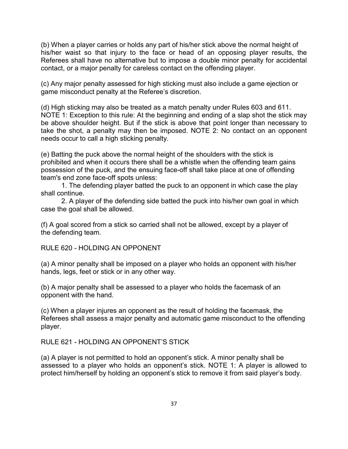(b) When a player carries or holds any part of his/her stick above the normal height of his/her waist so that injury to the face or head of an opposing player results, the Referees shall have no alternative but to impose a double minor penalty for accidental contact, or a major penalty for careless contact on the offending player.

(c) Any major penalty assessed for high sticking must also include a game ejection or game misconduct penalty at the Referee's discretion.

(d) High sticking may also be treated as a match penalty under Rules 603 and 611. NOTE 1: Exception to this rule: At the beginning and ending of a slap shot the stick may be above shoulder height. But if the stick is above that point longer than necessary to take the shot, a penalty may then be imposed. NOTE 2: No contact on an opponent needs occur to call a high sticking penalty.

(e) Batting the puck above the normal height of the shoulders with the stick is prohibited and when it occurs there shall be a whistle when the offending team gains possession of the puck, and the ensuing face-off shall take place at one of offending team's end zone face-off spots unless:

1. The defending player batted the puck to an opponent in which case the play shall continue.

2. A player of the defending side batted the puck into his/her own goal in which case the goal shall be allowed.

(f) A goal scored from a stick so carried shall not be allowed, except by a player of the defending team.

RULE 620 - HOLDING AN OPPONENT

(a) A minor penalty shall be imposed on a player who holds an opponent with his/her hands, legs, feet or stick or in any other way.

(b) A major penalty shall be assessed to a player who holds the facemask of an opponent with the hand.

(c) When a player injures an opponent as the result of holding the facemask, the Referees shall assess a major penalty and automatic game misconduct to the offending player.

RULE 621 - HOLDING AN OPPONENT'S STICK

(a) A player is not permitted to hold an opponent's stick. A minor penalty shall be assessed to a player who holds an opponent's stick. NOTE 1: A player is allowed to protect him/herself by holding an opponent's stick to remove it from said player's body.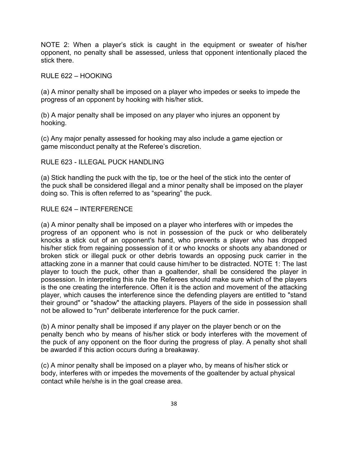NOTE 2: When a player's stick is caught in the equipment or sweater of his/her opponent, no penalty shall be assessed, unless that opponent intentionally placed the stick there.

#### RULE 622 – HOOKING

(a) A minor penalty shall be imposed on a player who impedes or seeks to impede the progress of an opponent by hooking with his/her stick.

(b) A major penalty shall be imposed on any player who injures an opponent by hooking.

(c) Any major penalty assessed for hooking may also include a game ejection or game misconduct penalty at the Referee's discretion.

#### RULE 623 - ILLEGAL PUCK HANDLING

(a) Stick handling the puck with the tip, toe or the heel of the stick into the center of the puck shall be considered illegal and a minor penalty shall be imposed on the player doing so. This is often referred to as "spearing" the puck.

#### RULE 624 – INTERFERENCE

(a) A minor penalty shall be imposed on a player who interferes with or impedes the progress of an opponent who is not in possession of the puck or who deliberately knocks a stick out of an opponent's hand, who prevents a player who has dropped his/her stick from regaining possession of it or who knocks or shoots any abandoned or broken stick or illegal puck or other debris towards an opposing puck carrier in the attacking zone in a manner that could cause him/her to be distracted. NOTE 1: The last player to touch the puck, other than a goaltender, shall be considered the player in possession. In interpreting this rule the Referees should make sure which of the players is the one creating the interference. Often it is the action and movement of the attacking player, which causes the interference since the defending players are entitled to "stand their ground" or "shadow" the attacking players. Players of the side in possession shall not be allowed to "run" deliberate interference for the puck carrier.

(b) A minor penalty shall be imposed if any player on the player bench or on the penalty bench who by means of his/her stick or body interferes with the movement of the puck of any opponent on the floor during the progress of play. A penalty shot shall be awarded if this action occurs during a breakaway.

(c) A minor penalty shall be imposed on a player who, by means of his/her stick or body, interferes with or impedes the movements of the goaltender by actual physical contact while he/she is in the goal crease area.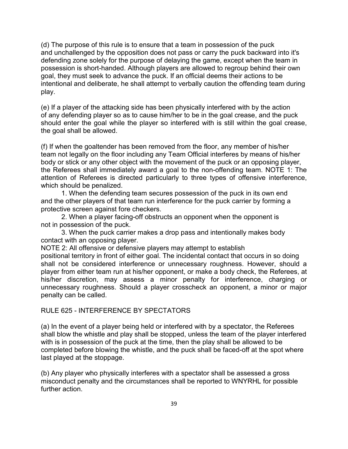(d) The purpose of this rule is to ensure that a team in possession of the puck and unchallenged by the opposition does not pass or carry the puck backward into it's defending zone solely for the purpose of delaying the game, except when the team in possession is short-handed. Although players are allowed to regroup behind their own goal, they must seek to advance the puck. If an official deems their actions to be intentional and deliberate, he shall attempt to verbally caution the offending team during play.

(e) If a player of the attacking side has been physically interfered with by the action of any defending player so as to cause him/her to be in the goal crease, and the puck should enter the goal while the player so interfered with is still within the goal crease, the goal shall be allowed.

(f) If when the goaltender has been removed from the floor, any member of his/her team not legally on the floor including any Team Official interferes by means of his/her body or stick or any other object with the movement of the puck or an opposing player, the Referees shall immediately award a goal to the non-offending team. NOTE 1: The attention of Referees is directed particularly to three types of offensive interference, which should be penalized.

1. When the defending team secures possession of the puck in its own end and the other players of that team run interference for the puck carrier by forming a protective screen against fore checkers.

2. When a player facing-off obstructs an opponent when the opponent is not in possession of the puck.

3. When the puck carrier makes a drop pass and intentionally makes body contact with an opposing player.

NOTE 2: All offensive or defensive players may attempt to establish

positional territory in front of either goal. The incidental contact that occurs in so doing shall not be considered interference or unnecessary roughness. However, should a player from either team run at his/her opponent, or make a body check, the Referees, at his/her discretion, may assess a minor penalty for interference, charging or unnecessary roughness. Should a player crosscheck an opponent, a minor or major penalty can be called.

#### RULE 625 - INTERFERENCE BY SPECTATORS

(a) In the event of a player being held or interfered with by a spectator, the Referees shall blow the whistle and play shall be stopped, unless the team of the player interfered with is in possession of the puck at the time, then the play shall be allowed to be completed before blowing the whistle, and the puck shall be faced-off at the spot where last played at the stoppage.

(b) Any player who physically interferes with a spectator shall be assessed a gross misconduct penalty and the circumstances shall be reported to WNYRHL for possible further action.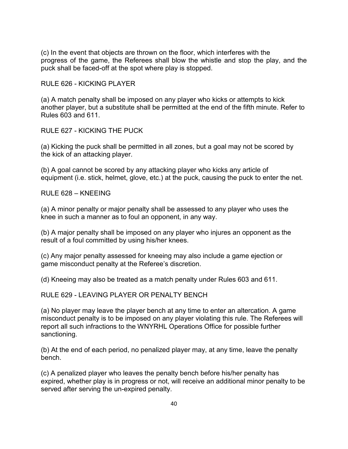(c) In the event that objects are thrown on the floor, which interferes with the progress of the game, the Referees shall blow the whistle and stop the play, and the puck shall be faced-off at the spot where play is stopped.

RULE 626 - KICKING PLAYER

(a) A match penalty shall be imposed on any player who kicks or attempts to kick another player, but a substitute shall be permitted at the end of the fifth minute. Refer to Rules 603 and 611.

RULE 627 - KICKING THE PUCK

(a) Kicking the puck shall be permitted in all zones, but a goal may not be scored by the kick of an attacking player.

(b) A goal cannot be scored by any attacking player who kicks any article of equipment (i.e. stick, helmet, glove, etc.) at the puck, causing the puck to enter the net.

 $RUIF 628 - KNFFING$ 

(a) A minor penalty or major penalty shall be assessed to any player who uses the knee in such a manner as to foul an opponent, in any way.

(b) A major penalty shall be imposed on any player who injures an opponent as the result of a foul committed by using his/her knees.

(c) Any major penalty assessed for kneeing may also include a game ejection or game misconduct penalty at the Referee's discretion.

(d) Kneeing may also be treated as a match penalty under Rules 603 and 611.

RULE 629 - LEAVING PLAYER OR PENALTY BENCH

(a) No player may leave the player bench at any time to enter an altercation. A game misconduct penalty is to be imposed on any player violating this rule. The Referees will report all such infractions to the WNYRHL Operations Office for possible further sanctioning.

(b) At the end of each period, no penalized player may, at any time, leave the penalty bench.

(c) A penalized player who leaves the penalty bench before his/her penalty has expired, whether play is in progress or not, will receive an additional minor penalty to be served after serving the un-expired penalty.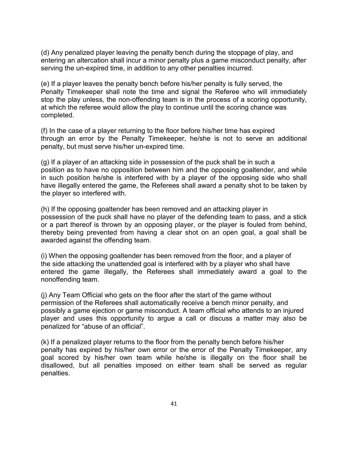(d) Any penalized player leaving the penalty bench during the stoppage of play, and entering an altercation shall incur a minor penalty plus a game misconduct penalty, after serving the un-expired time, in addition to any other penalties incurred.

(e) If a player leaves the penalty bench before his/her penalty is fully served, the Penalty Timekeeper shall note the time and signal the Referee who will immediately stop the play unless, the non-offending team is in the process of a scoring opportunity, at which the referee would allow the play to continue until the scoring chance was completed.

(f) In the case of a player returning to the floor before his/her time has expired through an error by the Penalty Timekeeper, he/she is not to serve an additional penalty, but must serve his/her un-expired time.

(g) If a player of an attacking side in possession of the puck shall be in such a position as to have no opposition between him and the opposing goaltender, and while in such position he/she is interfered with by a player of the opposing side who shall have illegally entered the game, the Referees shall award a penalty shot to be taken by the player so interfered with.

(h) If the opposing goaltender has been removed and an attacking player in possession of the puck shall have no player of the defending team to pass, and a stick or a part thereof is thrown by an opposing player, or the player is fouled from behind, thereby being prevented from having a clear shot on an open goal, a goal shall be awarded against the offending team.

(i) When the opposing goaltender has been removed from the floor, and a player of the side attacking the unattended goal is interfered with by a player who shall have entered the game illegally, the Referees shall immediately award a goal to the nonoffending team.

(j) Any Team Official who gets on the floor after the start of the game without permission of the Referees shall automatically receive a bench minor penalty, and possibly a game ejection or game misconduct. A team official who attends to an injured player and uses this opportunity to argue a call or discuss a matter may also be penalized for "abuse of an official".

(k) If a penalized player returns to the floor from the penalty bench before his/her penalty has expired by his/her own error or the error of the Penalty Timekeeper, any goal scored by his/her own team while he/she is illegally on the floor shall be disallowed, but all penalties imposed on either team shall be served as regular penalties.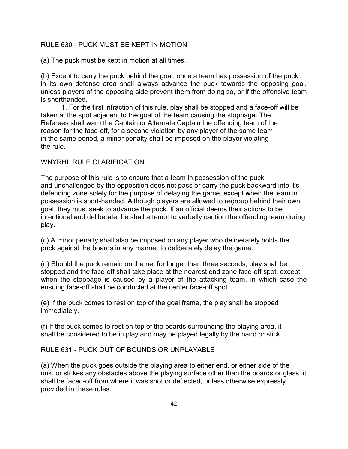# RULE 630 - PUCK MUST BE KEPT IN MOTION

(a) The puck must be kept in motion at all times.

(b) Except to carry the puck behind the goal, once a team has possession of the puck in its own defense area shall always advance the puck towards the opposing goal, unless players of the opposing side prevent them from doing so, or if the offensive team is shorthanded.

1. For the first infraction of this rule, play shall be stopped and a face-off will be taken at the spot adjacent to the goal of the team causing the stoppage. The Referees shall warn the Captain or Alternate Captain the offending team of the reason for the face-off, for a second violation by any player of the same team in the same period, a minor penalty shall be imposed on the player violating the rule.

#### WNYRHL RULE CLARIFICATION

The purpose of this rule is to ensure that a team in possession of the puck and unchallenged by the opposition does not pass or carry the puck backward into it's defending zone solely for the purpose of delaying the game, except when the team in possession is short-handed. Although players are allowed to regroup behind their own goal, they must seek to advance the puck. If an official deems their actions to be intentional and deliberate, he shall attempt to verbally caution the offending team during play.

(c) A minor penalty shall also be imposed on any player who deliberately holds the puck against the boards in any manner to deliberately delay the game.

(d) Should the puck remain on the net for longer than three seconds, play shall be stopped and the face-off shall take place at the nearest end zone face-off spot, except when the stoppage is caused by a player of the attacking team, in which case the ensuing face-off shall be conducted at the center face-off spot.

(e) If the puck comes to rest on top of the goal frame, the play shall be stopped immediately.

(f) If the puck comes to rest on top of the boards surrounding the playing area, it shall be considered to be in play and may be played legally by the hand or stick.

# RULE 631 - PUCK OUT OF BOUNDS OR UNPLAYABLE

(a) When the puck goes outside the playing area to either end, or either side of the rink, or strikes any obstacles above the playing surface other than the boards or glass, it shall be faced-off from where it was shot or deflected, unless otherwise expressly provided in these rules.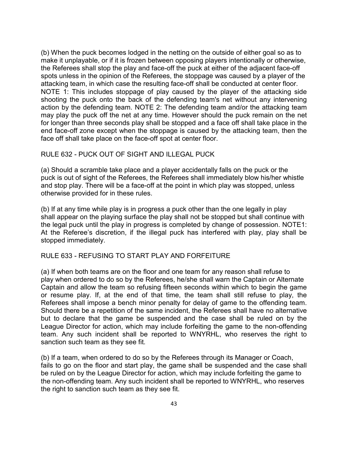(b) When the puck becomes lodged in the netting on the outside of either goal so as to make it unplayable, or if it is frozen between opposing players intentionally or otherwise, the Referees shall stop the play and face-off the puck at either of the adjacent face-off spots unless in the opinion of the Referees, the stoppage was caused by a player of the attacking team, in which case the resulting face-off shall be conducted at center floor. NOTE 1: This includes stoppage of play caused by the player of the attacking side shooting the puck onto the back of the defending team's net without any intervening action by the defending team. NOTE 2: The defending team and/or the attacking team may play the puck off the net at any time. However should the puck remain on the net for longer than three seconds play shall be stopped and a face off shall take place in the end face-off zone except when the stoppage is caused by the attacking team, then the face off shall take place on the face-off spot at center floor.

#### RULE 632 - PUCK OUT OF SIGHT AND ILLEGAL PUCK

(a) Should a scramble take place and a player accidentally falls on the puck or the puck is out of sight of the Referees, the Referees shall immediately blow his/her whistle and stop play. There will be a face-off at the point in which play was stopped, unless otherwise provided for in these rules.

(b) If at any time while play is in progress a puck other than the one legally in play shall appear on the playing surface the play shall not be stopped but shall continue with the legal puck until the play in progress is completed by change of possession. NOTE1: At the Referee's discretion, if the illegal puck has interfered with play, play shall be stopped immediately.

#### RULE 633 - REFUSING TO START PLAY AND FORFEITURE

(a) If when both teams are on the floor and one team for any reason shall refuse to play when ordered to do so by the Referees, he/she shall warn the Captain or Alternate Captain and allow the team so refusing fifteen seconds within which to begin the game or resume play. If, at the end of that time, the team shall still refuse to play, the Referees shall impose a bench minor penalty for delay of game to the offending team. Should there be a repetition of the same incident, the Referees shall have no alternative but to declare that the game be suspended and the case shall be ruled on by the League Director for action, which may include forfeiting the game to the non-offending team. Any such incident shall be reported to WNYRHL, who reserves the right to sanction such team as they see fit.

(b) If a team, when ordered to do so by the Referees through its Manager or Coach, fails to go on the floor and start play, the game shall be suspended and the case shall be ruled on by the League Director for action, which may include forfeiting the game to the non-offending team. Any such incident shall be reported to WNYRHL, who reserves the right to sanction such team as they see fit.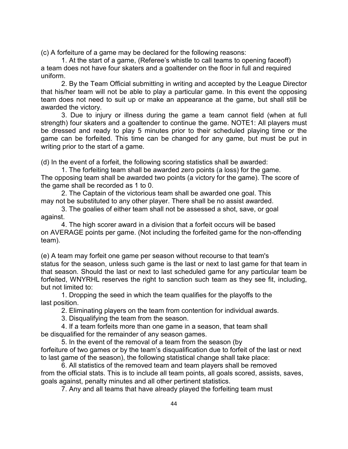(c) A forfeiture of a game may be declared for the following reasons:

1. At the start of a game, (Referee's whistle to call teams to opening faceoff) a team does not have four skaters and a goaltender on the floor in full and required uniform.

2. By the Team Official submitting in writing and accepted by the League Director that his/her team will not be able to play a particular game. In this event the opposing team does not need to suit up or make an appearance at the game, but shall still be awarded the victory.

3. Due to injury or illness during the game a team cannot field (when at full strength) four skaters and a goaltender to continue the game. NOTE1: All players must be dressed and ready to play 5 minutes prior to their scheduled playing time or the game can be forfeited. This time can be changed for any game, but must be put in writing prior to the start of a game.

(d) In the event of a forfeit, the following scoring statistics shall be awarded:

1. The forfeiting team shall be awarded zero points (a loss) for the game. The opposing team shall be awarded two points (a victory for the game). The score of the game shall be recorded as 1 to 0.

2. The Captain of the victorious team shall be awarded one goal. This may not be substituted to any other player. There shall be no assist awarded.

3. The goalies of either team shall not be assessed a shot, save, or goal against.

4. The high scorer award in a division that a forfeit occurs will be based on AVERAGE points per game. (Not including the forfeited game for the non-offending team).

(e) A team may forfeit one game per season without recourse to that team's status for the season, unless such game is the last or next to last game for that team in that season. Should the last or next to last scheduled game for any particular team be forfeited, WNYRHL reserves the right to sanction such team as they see fit, including, but not limited to:

1. Dropping the seed in which the team qualifies for the playoffs to the last position.

2. Eliminating players on the team from contention for individual awards.

3. Disqualifying the team from the season.

4. If a team forfeits more than one game in a season, that team shall be disqualified for the remainder of any season games.

5. In the event of the removal of a team from the season (by forfeiture of two games or by the team's disqualification due to forfeit of the last or next to last game of the season), the following statistical change shall take place:

6. All statistics of the removed team and team players shall be removed from the official stats. This is to include all team points, all goals scored, assists, saves, goals against, penalty minutes and all other pertinent statistics.

7. Any and all teams that have already played the forfeiting team must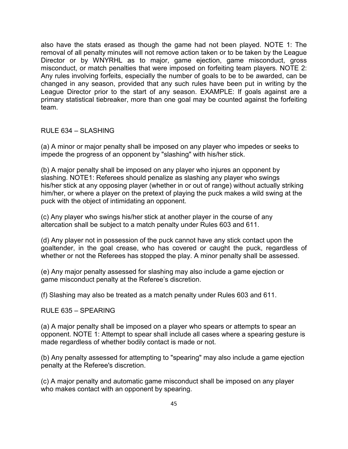also have the stats erased as though the game had not been played. NOTE 1: The removal of all penalty minutes will not remove action taken or to be taken by the League Director or by WNYRHL as to major, game ejection, game misconduct, gross misconduct, or match penalties that were imposed on forfeiting team players. NOTE 2: Any rules involving forfeits, especially the number of goals to be to be awarded, can be changed in any season, provided that any such rules have been put in writing by the League Director prior to the start of any season. EXAMPLE: If goals against are a primary statistical tiebreaker, more than one goal may be counted against the forfeiting team.

#### RULE 634 – SLASHING

(a) A minor or major penalty shall be imposed on any player who impedes or seeks to impede the progress of an opponent by "slashing" with his/her stick.

(b) A major penalty shall be imposed on any player who injures an opponent by slashing. NOTE1: Referees should penalize as slashing any player who swings his/her stick at any opposing player (whether in or out of range) without actually striking him/her, or where a player on the pretext of playing the puck makes a wild swing at the puck with the object of intimidating an opponent.

(c) Any player who swings his/her stick at another player in the course of any altercation shall be subject to a match penalty under Rules 603 and 611.

(d) Any player not in possession of the puck cannot have any stick contact upon the goaltender, in the goal crease, who has covered or caught the puck, regardless of whether or not the Referees has stopped the play. A minor penalty shall be assessed.

(e) Any major penalty assessed for slashing may also include a game ejection or game misconduct penalty at the Referee's discretion.

(f) Slashing may also be treated as a match penalty under Rules 603 and 611.

#### RULE 635 – SPEARING

(a) A major penalty shall be imposed on a player who spears or attempts to spear an opponent. NOTE 1: Attempt to spear shall include all cases where a spearing gesture is made regardless of whether bodily contact is made or not.

(b) Any penalty assessed for attempting to "spearing" may also include a game ejection penalty at the Referee's discretion.

(c) A major penalty and automatic game misconduct shall be imposed on any player who makes contact with an opponent by spearing.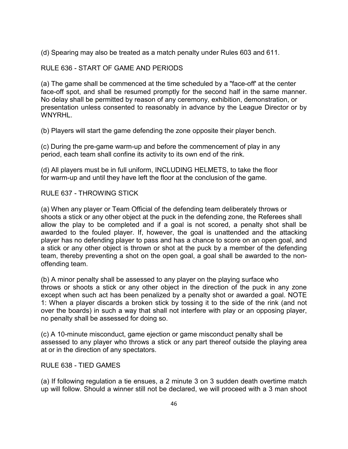(d) Spearing may also be treated as a match penalty under Rules 603 and 611.

# RULE 636 - START OF GAME AND PERIODS

(a) The game shall be commenced at the time scheduled by a "face-off' at the center face-off spot, and shall be resumed promptly for the second half in the same manner. No delay shall be permitted by reason of any ceremony, exhibition, demonstration, or presentation unless consented to reasonably in advance by the League Director or by WNYRHL.

(b) Players will start the game defending the zone opposite their player bench.

(c) During the pre-game warm-up and before the commencement of play in any period, each team shall confine its activity to its own end of the rink.

(d) All players must be in full uniform, INCLUDING HELMETS, to take the floor for warm-up and until they have left the floor at the conclusion of the game.

RULE 637 - THROWING STICK

(a) When any player or Team Official of the defending team deliberately throws or shoots a stick or any other object at the puck in the defending zone, the Referees shall allow the play to be completed and if a goal is not scored, a penalty shot shall be awarded to the fouled player. If, however, the goal is unattended and the attacking player has no defending player to pass and has a chance to score on an open goal, and a stick or any other object is thrown or shot at the puck by a member of the defending team, thereby preventing a shot on the open goal, a goal shall be awarded to the nonoffending team.

(b) A minor penalty shall be assessed to any player on the playing surface who throws or shoots a stick or any other object in the direction of the puck in any zone except when such act has been penalized by a penalty shot or awarded a goal. NOTE 1: When a player discards a broken stick by tossing it to the side of the rink (and not over the boards) in such a way that shall not interfere with play or an opposing player, no penalty shall be assessed for doing so.

(c) A 10-minute misconduct, game ejection or game misconduct penalty shall be assessed to any player who throws a stick or any part thereof outside the playing area at or in the direction of any spectators.

#### RULE 638 - TIED GAMES

(a) If following regulation a tie ensues, a 2 minute 3 on 3 sudden death overtime match up will follow. Should a winner still not be declared, we will proceed with a 3 man shoot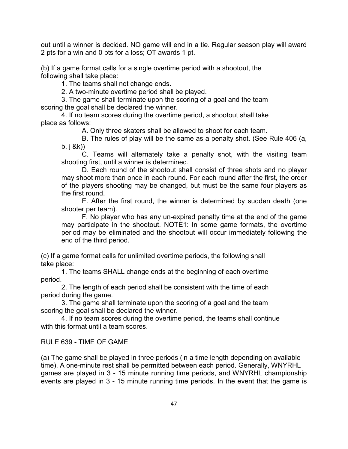out until a winner is decided. NO game will end in a tie. Regular season play will award 2 pts for a win and 0 pts for a loss; OT awards 1 pt.

(b) If a game format calls for a single overtime period with a shootout, the following shall take place:

1. The teams shall not change ends.

2. A two-minute overtime period shall be played.

3. The game shall terminate upon the scoring of a goal and the team scoring the goal shall be declared the winner.

4. If no team scores during the overtime period, a shootout shall take place as follows:

A. Only three skaters shall be allowed to shoot for each team.

B. The rules of play will be the same as a penalty shot. (See Rule 406 (a, b, j &k))

C. Teams will alternately take a penalty shot, with the visiting team shooting first, until a winner is determined.

D. Each round of the shootout shall consist of three shots and no player may shoot more than once in each round. For each round after the first, the order of the players shooting may be changed, but must be the same four players as the first round.

E. After the first round, the winner is determined by sudden death (one shooter per team).

F. No player who has any un-expired penalty time at the end of the game may participate in the shootout. NOTE1: In some game formats, the overtime period may be eliminated and the shootout will occur immediately following the end of the third period.

(c) If a game format calls for unlimited overtime periods, the following shall take place:

1. The teams SHALL change ends at the beginning of each overtime period.

2. The length of each period shall be consistent with the time of each period during the game.

3. The game shall terminate upon the scoring of a goal and the team scoring the goal shall be declared the winner.

4. If no team scores during the overtime period, the teams shall continue with this format until a team scores.

RULE 639 - TIME OF GAME

(a) The game shall be played in three periods (in a time length depending on available time). A one-minute rest shall be permitted between each period. Generally, WNYRHL games are played in 3 - 15 minute running time periods, and WNYRHL championship events are played in 3 - 15 minute running time periods. In the event that the game is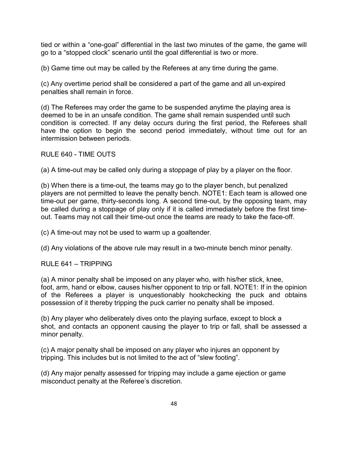tied or within a "one-goal" differential in the last two minutes of the game, the game will go to a "stopped clock" scenario until the goal differential is two or more.

(b) Game time out may be called by the Referees at any time during the game.

(c) Any overtime period shall be considered a part of the game and all un-expired penalties shall remain in force.

(d) The Referees may order the game to be suspended anytime the playing area is deemed to be in an unsafe condition. The game shall remain suspended until such condition is corrected. If any delay occurs during the first period, the Referees shall have the option to begin the second period immediately, without time out for an intermission between periods.

#### RULE 640 - TIME OUTS

(a) A time-out may be called only during a stoppage of play by a player on the floor.

(b) When there is a time-out, the teams may go to the player bench, but penalized players are not permitted to leave the penalty bench. NOTE1: Each team is allowed one time-out per game, thirty-seconds long. A second time-out, by the opposing team, may be called during a stoppage of play only if it is called immediately before the first timeout. Teams may not call their time-out once the teams are ready to take the face-off.

(c) A time-out may not be used to warm up a goaltender.

(d) Any violations of the above rule may result in a two-minute bench minor penalty.

RULE 641 – TRIPPING

(a) A minor penalty shall be imposed on any player who, with his/her stick, knee, foot, arm, hand or elbow, causes his/her opponent to trip or fall. NOTE1: If in the opinion of the Referees a player is unquestionably hookchecking the puck and obtains possession of it thereby tripping the puck carrier no penalty shall be imposed.

(b) Any player who deliberately dives onto the playing surface, except to block a shot, and contacts an opponent causing the player to trip or fall, shall be assessed a minor penalty.

(c) A major penalty shall be imposed on any player who injures an opponent by tripping. This includes but is not limited to the act of "slew footing".

(d) Any major penalty assessed for tripping may include a game ejection or game misconduct penalty at the Referee's discretion.